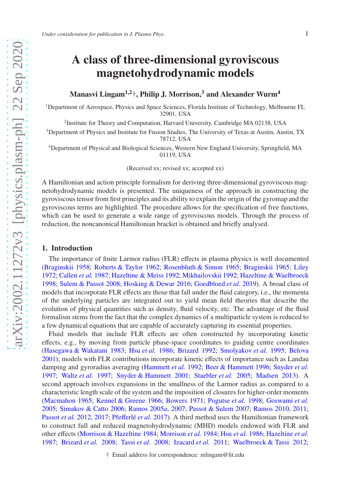# A class of three-dimensional gyroviscous magnetohydrodynamic models

# Manasvi Lingam<sup>1,2</sup><sup>†</sup>, Philip J. Morrison,<sup>3</sup> and Alexander Wurm<sup>4</sup>

<sup>1</sup>Department of Aerospace, Physics and Space Sciences, Florida Institute of Technology, Melbourne FL 32901, USA

<sup>2</sup>Institute for Theory and Computation, Harvard University, Cambridge MA 02138, USA

<sup>3</sup>Department of Physics and Institute for Fusion Studies, The University of Texas at Austin, Austin, TX 78712, USA

<sup>4</sup>Department of Physical and Biological Sciences, Western New England University, Springfield, MA 01119, USA

(Received xx; revised xx; accepted xx)

A Hamiltonian and action principle formalism for deriving three-dimensional gyroviscous magnetohydrodynamic models is presented. The uniqueness of the approach in constructing the gyroviscous tensor from first principles and its ability to explain the origin of the gyromap and the gyroviscous terms are highlighted. The procedure allows for the specification of free functions, which can be used to generate a wide range of gyroviscous models. Through the process of reduction, the noncanonical Hamiltonian bracket is obtained and briefly analysed.

#### 1. Introduction

The importance of finite Larmor radius (FLR) effects in plasma physics is well documented [\(Braginskii 1958;](#page-19-0) [Roberts & Taylor 1962;](#page-24-0) [Rosenbluth & Simon 1965](#page-24-1); [Braginskii 1965](#page-19-1); [Liley](#page-22-0) [1972;](#page-22-0) [Callen](#page-20-0) *et al.* [1987;](#page-20-0) [Hazeltine & Meiss 1992;](#page-21-0) [Mikhailovskii 1992;](#page-23-0) [Hazeltine & Waelbroeck](#page-21-1) [1998;](#page-21-1) [Sulem & Passot 2008;](#page-25-0) [Hosking & Dewar 2016](#page-21-2); [Goedbloed](#page-21-3) *et al.* [2019\)](#page-21-3). A broad class of models that incorporate FLR effects are those that fall under the fluid category, i.e., the momenta of the underlying particles are integrated out to yield mean field theories that describe the evolution of physical quantities such as density, fluid velocity, etc. The advantage of the fluid formalism stems from the fact that the complex dynamics of a multiparticle system is reduced to a few dynamical equations that are capable of accurately capturing its essential properties.

Fluid models that include FLR effects are often constructed by incorporating kinetic effects, e.g., by moving from particle phase-space coordinates to guiding centre coordinates [\(Hasegawa & Wakatani 1983](#page-21-4); Hsu *[et al.](#page-21-5)* [1986;](#page-21-5) [Brizard 1992](#page-19-2); [Smolyakov](#page-24-2) *et al.* [1995;](#page-24-2) [Belova](#page-19-3) [2001\)](#page-19-3); models with FLR contributions incorporate kinetic effects of importance such as Landau damping and gyroradius averaging [\(Hammett](#page-21-6) *et al.* [1992;](#page-21-6) [Beer & Hammett 1996;](#page-19-4) [Snyder](#page-24-3) *et al.* [1997;](#page-24-3) [Waltz](#page-25-1) *et al.* [1997](#page-25-1); [Snyder & Hammett 2001;](#page-24-4) [Staebler](#page-24-5) *et al.* [2005](#page-24-5); [Madsen 2013](#page-22-1)). A second approach involves expansions in the smallness of the Larmor radius as compared to a characteristic length scale of the system and the imposition of closures for higher-order moments [\(Macmahon 1965;](#page-22-2) [Kennel & Greene 1966;](#page-21-7) [Bowers 1971;](#page-19-5) [Pogutse](#page-24-6) *et al.* [1998;](#page-24-6) [Goswami](#page-21-8) *et al.* [2005;](#page-21-8) [Simakov & Catto 2006;](#page-24-7) [Ramos 2005](#page-24-8)*a*, [2007;](#page-24-9) [Passot & Sulem 2007;](#page-23-1) [Ramos 2010,](#page-24-10) [2011;](#page-24-11) [Passot](#page-23-2) *[et al.](#page-24-12)* [2012,](#page-23-2) [2017;](#page-23-3) Pfefferlé *et al.* [2017](#page-24-12)). A third method uses the Hamiltonian framework to construct full and reduced magnetohydrodynamic (MHD) models endowed with FLR and other effects [\(Morrison & Hazeltine 1984;](#page-23-4) [Morrison](#page-23-5) *et al.* [1984;](#page-23-5) Hsu *[et al.](#page-21-5)* [1986;](#page-21-5) [Hazeltine](#page-21-9) *et al.* [1987;](#page-21-9) [Brizard](#page-20-1) *et al.* [2008;](#page-20-1) [Tassi](#page-25-2) *et al.* [2008;](#page-25-2) [Izacard](#page-21-10) *et al.* [2011;](#page-21-10) [Waelbroeck & Tassi 2012;](#page-25-3)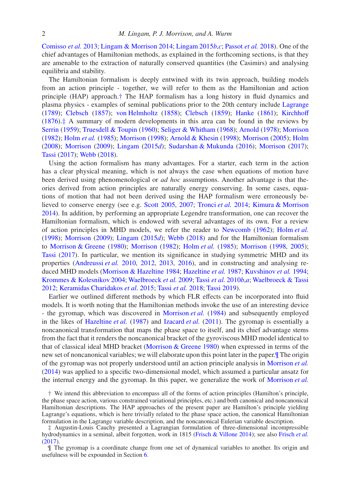[Comisso](#page-20-2) *et al.* [2013;](#page-20-2) [Lingam & Morrison 2014;](#page-22-3) [Lingam 2015](#page-22-4)*b*,*[c](#page-22-5)*; [Passot](#page-23-6) *et al.* [2018\)](#page-23-6). One of the chief advantages of Hamiltonian methods, as explained in the forthcoming sections, is that they are amenable to the extraction of naturally conserved quantities (the Casimirs) and analysing equilibria and stability.

The Hamiltonian formalism is deeply entwined with its twin approach, building models from an action principle - together, we will refer to them as the Hamiltonian and action principle (HAP) approach.[†](#page-1-0) The HAP formalism has a long history in fluid dynamics and plasma physics - examples of seminal publications prior to the 20th century include [Lagrange](#page-22-6) [\(1789\)](#page-22-6); [Clebsch](#page-20-3) [\(1857\)](#page-20-3); [von Helmholtz](#page-25-4) [\(1858\)](#page-25-4); [Clebsch](#page-20-4) [\(1859\)](#page-20-4); [Hanke](#page-21-11) [\(1861\)](#page-21-11); [Kirchho](#page-22-7)ff [\(1876\)](#page-22-7).[‡](#page-1-1) A summary of modern developments in this area can be found in the reviews by [Serrin](#page-24-13) [\(1959](#page-24-13)); [Truesdell & Toupin](#page-25-5) [\(1960\)](#page-25-5); [Seliger & Whitham](#page-24-14) [\(1968\)](#page-24-14); [Arnold](#page-19-6) [\(1978\)](#page-19-6); [Morrison](#page-23-7) [\(1982\)](#page-23-7); [Holm](#page-21-12) *et al.* [\(1985\)](#page-21-12); [Morrison](#page-23-8) [\(1998](#page-23-8)); [Arnold & Khesin](#page-19-7) [\(1998](#page-19-7)); [Morrison](#page-23-9) [\(2005](#page-23-9)); [Holm](#page-21-13) [\(2008\)](#page-21-13); [Morrison](#page-23-10) [\(2009](#page-23-10)); [Lingam](#page-22-8) [\(2015](#page-22-8)*d*); [Sudarshan & Mukunda](#page-24-15) [\(2016\)](#page-24-15); [Morrison](#page-23-11) [\(2017\)](#page-23-11); [Tassi](#page-25-6) [\(2017\)](#page-25-6); [Webb](#page-25-7) [\(2018\)](#page-25-7).

Using the action formalism has many advantages. For a starter, each term in the action has a clear physical meaning, which is not always the case when equations of motion have been derived using phenomenological or *ad hoc* assumptions. Another advantage is that theories derived from action principles are naturally energy conserving. In some cases, equations of motion that had not been derived using the HAP formalism were erroneously believed to conserve energy (see e.g. [Scott 2005,](#page-24-16) [2007](#page-24-17); [Tronci](#page-25-8) *et al.* [2014;](#page-25-8) [Kimura & Morrison](#page-22-9) [2014\)](#page-22-9). In addition, by performing an appropriate Legendre transformation, one can recover the Hamiltonian formalism, which is endowed with several advantages of its own. For a review of action principles in MHD models, we refer the reader to [Newcomb](#page-23-12) [\(1962](#page-23-12)); [Holm](#page-21-14) *et al.* [\(1998\)](#page-21-14); [Morrison](#page-23-10) [\(2009\)](#page-23-10); [Lingam](#page-22-8) [\(2015](#page-22-8)*d*); [Webb](#page-25-7) [\(2018\)](#page-25-7) and for the Hamiltonian formalism to [Morrison & Greene](#page-23-13) [\(1980\)](#page-23-13); [Morrison](#page-23-7) [\(1982\)](#page-23-7); [Holm](#page-21-12) *et al.* [\(1985\)](#page-21-12); [Morrison](#page-23-8) [\(1998,](#page-23-8) [2005\)](#page-23-9); [Tassi](#page-25-6) [\(2017\)](#page-25-6). In particular, we mention its significance in studying symmetric MHD and its properties [\(Andreussi](#page-19-8) *et al.* [2010,](#page-19-8) [2012,](#page-19-9) [2013,](#page-19-10) [2016\)](#page-19-11), and in constructing and analysing reduced MHD models [\(Morrison & Hazeltine 1984;](#page-23-4) [Hazeltine](#page-21-9) *et al.* [1987](#page-21-9); [Kuvshinov](#page-22-10) *et al.* [1994;](#page-22-10) [Krommes & Kolesnikov 2004;](#page-22-11) [Waelbroeck](#page-25-9) *et al.* [2009;](#page-25-9) [Tassi](#page-25-10) *et al.* [2010](#page-25-10)*b*,*[a](#page-25-11)*; [Waelbroeck & Tassi](#page-25-3) [2012;](#page-25-3) [Keramidas Charidakos](#page-22-12) *et al.* [2015;](#page-22-12) [Tassi](#page-25-12) *et al.* [2018](#page-25-12); [Tassi 2019](#page-25-13)).

Earlier we outlined different methods by which FLR effects can be incorporated into fluid models. It is worth noting that the Hamiltonian methods invoke the use of an interesting device - the gyromap, which was discovered in [Morrison](#page-23-5) *et al.* [\(1984\)](#page-23-5) and subsequently employed in the likes of [Hazeltine](#page-21-9) *et al.* [\(1987\)](#page-21-9) and [Izacard](#page-21-10) *et al.* [\(2011\)](#page-21-10). The gyromap is essentially a noncanonical transformation that maps the phase space to itself, and its chief advantage stems from the fact that it renders the noncanonical bracket of the gyroviscous MHD model identical to that of classical ideal MHD bracket [\(Morrison & Greene 1980\)](#page-23-13) when expressed in terms of the new set of noncanonical variables; we will elaborate upon this point later in the paper.[¶](#page-1-2) The origin of the gyromap was not properly understood until an action principle analysis in [Morrison](#page-23-14) *et al.* [\(2014\)](#page-23-14) was applied to a specific two-dimensional model, which assumed a particular ansatz for the internal energy and the gyromap. In this paper, we generalize the work of [Morrison](#page-23-14) *et al.*

<span id="page-1-2"></span>¶ The gyromap is a coordinate change from one set of dynamical variables to another. Its origin and usefulness will be expounded in Section [6.](#page-12-0)

<span id="page-1-0"></span><sup>†</sup> We intend this abbreviation to encompass all of the forms of action principles (Hamilton's principle, the phase space action, various constrained variational principles, etc.) and both canonical and noncanonical Hamiltonian descriptions. The HAP approaches of the present paper are Hamilton's principle yielding Lagrange's equations, which is here trivially related to the phase space action, the canonical Hamiltonian formulation in the Lagrange variable description, and the noncanonical Eulerian variable description.

<span id="page-1-1"></span><sup>‡</sup> Augustin-Louis Cauchy presented a Lagrangian formulation of three-dimensional incompressible hydrodynamics in a seminal, albeit forgotten, work in 1815 [\(Frisch & Villone 2014](#page-20-5)); see also [Frisch](#page-20-6) *et al.* [\(2017](#page-20-6)).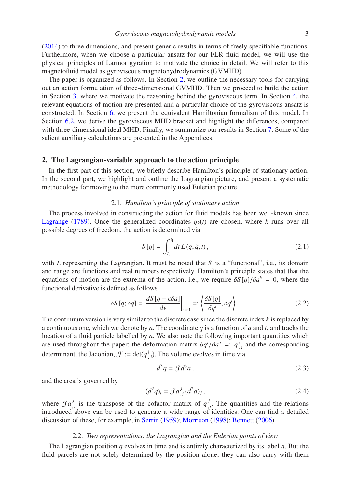[\(2014\)](#page-23-14) to three dimensions, and present generic results in terms of freely specifiable functions. Furthermore, when we choose a particular ansatz for our FLR fluid model, we will use the physical principles of Larmor gyration to motivate the choice in detail. We will refer to this magnetofluid model as gyroviscous magnetohydrodynamics (GVMHD).

The paper is organized as follows. In Section [2,](#page-2-0) we outline the necessary tools for carrying out an action formulation of three-dimensional GVMHD. Then we proceed to build the action in Section [3,](#page-4-0) where we motivate the reasoning behind the gyroviscous term. In Section [4,](#page-7-0) the relevant equations of motion are presented and a particular choice of the gyroviscous ansatz is constructed. In Section [6,](#page-12-0) we present the equivalent Hamiltonian formalism of this model. In Section [6.2,](#page-14-0) we derive the gyroviscous MHD bracket and highlight the differences, compared with three-dimensional ideal MHD. Finally, we summarize our results in Section [7.](#page-15-0) Some of the salient auxiliary calculations are presented in the Appendices.

# <span id="page-2-0"></span>2. The Lagrangian-variable approach to the action principle

In the first part of this section, we briefly describe Hamilton's principle of stationary action. In the second part, we highlight and outline the Lagrangian picture, and present a systematic methodology for moving to the more commonly used Eulerian picture.

# 2.1. *Hamilton's principle of stationary action*

The process involved in constructing the action for fluid models has been well-known since [Lagrange](#page-22-6) [\(1789\)](#page-22-6). Once the generalized coordinates  $q_k(t)$  are chosen, where *k* runs over all possible degrees of freedom, the action is determined via

$$
S[q] = \int_{t_0}^{t_1} dt \, L(q, \dot{q}, t), \tag{2.1}
$$

with *L* representing the Lagrangian. It must be noted that *S* is a "functional", i.e., its domain and range are functions and real numbers respectively. Hamilton's principle states that that the equations of motion are the extrema of the action, i.e., we require  $\delta S[q]/\delta q^k = 0$ , where the functional derivative is defined as follows

$$
\delta S[q; \delta q] = \left. \frac{dS[q + \epsilon \delta q]}{d\epsilon} \right|_{\epsilon=0} =: \left\langle \frac{\delta S[q]}{\delta q^i}, \delta q^i \right\rangle. \tag{2.2}
$$

The continuum version is very similar to the discrete case since the discrete index *k* is replaced by a continuous one, which we denote by *a*. The coordinate *q* is a function of *a* and *t*, and tracks the location of a fluid particle labelled by *a*. We also note the following important quantities which are used throughout the paper: the deformation matrix  $\partial q^i / \partial a^j =: q^i_{,j}$  and the corresponding determinant, the Jacobian,  $\mathcal{J} := \det(q^i_{,j})$ . The volume evolves in time via

<span id="page-2-1"></span>
$$
d^3q = \mathcal{J}d^3a\,,\tag{2.3}
$$

and the area is governed by

<span id="page-2-2"></span>
$$
(d^2q)_i = \mathcal{J}a^j_{,i}(d^2a)_j, \tag{2.4}
$$

where  $\mathcal{J}a^j$  $\int_{i}^{j}$  is the transpose of the cofactor matrix of  $q_i^j$  $\int_{i}^{j}$ . The quantities and the relations introduced above can be used to generate a wide range of identities. One can find a detailed discussion of these, for example, in [Serrin](#page-24-13) [\(1959\)](#page-24-13); [Morrison](#page-23-8) [\(1998\)](#page-23-8); [Bennett](#page-19-12) [\(2006](#page-19-12)).

#### 2.2. *Two representations: the Lagrangian and the Eulerian points of view*

<span id="page-2-3"></span>The Lagrangian position *q* evolves in time and is entirely characterized by its label *a*. But the fluid parcels are not solely determined by the position alone; they can also carry with them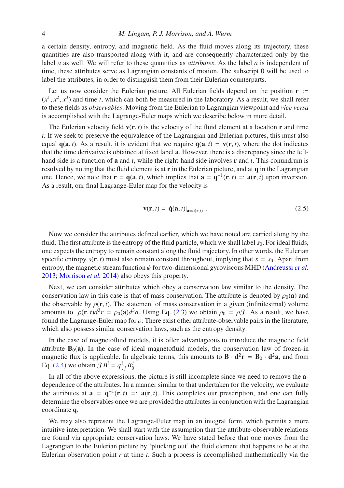a certain density, entropy, and magnetic field. As the fluid moves along its trajectory, these quantities are also transported along with it, and are consequently characterized only by the label *a* as well. We will refer to these quantities as *attributes*. As the label *a* is independent of time, these attributes serve as Lagrangian constants of motion. The subscript 0 will be used to label the attributes, in order to distinguish them from their Eulerian counterparts.

Let us now consider the Eulerian picture. All Eulerian fields depend on the position  $\mathbf{r}$  :=  $(x<sup>1</sup>, x<sup>2</sup>, x<sup>3</sup>)$  and time *t*, which can both be measured in the laboratory. As a result, we shall refer to these fields as *observables*. Moving from the Eulerian to Lagrangian viewpoint and *vice versa* is accomplished with the Lagrange-Euler maps which we describe below in more detail.

The Eulerian velocity field  $\mathbf{v}(\mathbf{r}, t)$  is the velocity of the fluid element at a location  $\mathbf{r}$  and time *t*. If we seek to preserve the equivalence of the Lagrangian and Eulerian pictures, this must also equal  $\dot{q}(a, t)$ . As a result, it is evident that we require  $\dot{q}(a, t) = v(r, t)$ , where the dot indicates that the time derivative is obtained at fixed label a. However, there is a discrepancy since the lefthand side is a function of a and *t*, while the right-hand side involves r and *t*. This conundrum is resolved by noting that the fluid element is at  $\bf{r}$  in the Eulerian picture, and at  $\bf{q}$  in the Lagrangian one. Hence, we note that  $\mathbf{r} = \mathbf{q}(\mathbf{a}, t)$ , which implies that  $\mathbf{a} = \mathbf{q}^{-1}(\mathbf{r}, t) =: \mathbf{a}(\mathbf{r}, t)$  upon inversion. As a result, our final Lagrange-Euler map for the velocity is

$$
\mathbf{v}(\mathbf{r},t) = \dot{\mathbf{q}}(\mathbf{a},t)|_{\mathbf{a}=\mathbf{a}(\mathbf{r},t)} .
$$
 (2.5)

Now we consider the attributes defined earlier, which we have noted are carried along by the fluid. The first attribute is the entropy of the fluid particle, which we shall label *s*<sub>0</sub>. For ideal fluids, one expects the entropy to remain constant along the fluid trajectory. In other words, the Eulerian specific entropy  $s(\mathbf{r}, t)$  must also remain constant throughout, implying that  $s = s_0$ . Apart from entropy, the magnetic stream function  $\psi$  for two-dimensional gyroviscous MHD [\(Andreussi](#page-19-10) *et al.*) [2013;](#page-19-10) [Morrison](#page-23-14) *et al.* [2014](#page-23-14)) also obeys this property.

Next, we can consider attributes which obey a conservation law similar to the density. The conservation law in this case is that of mass conservation. The attribute is denoted by  $\rho_0(\mathbf{a})$  and the observable by  $\rho(\mathbf{r}, t)$ . The statement of mass conservation in a given (infinitesimal) volume amounts to  $\rho(\mathbf{r}, t)d^3r = \rho_0(\mathbf{a})d^3a$ . Using Eq. [\(2.3\)](#page-2-1) we obtain  $\rho_0 = \rho \mathcal{J}$ . As a result, we have found the Lagrange-Euler map for ρ. There exist other attribute-observable pairs in the literature, which also possess similar conservation laws, such as the entropy density.

In the case of magnetofluid models, it is often advantageous to introduce the magnetic field attribute  $B_0(a)$ . In the case of ideal magnetofluid models, the conservation law of frozen-in magnetic flux is applicable. In algebraic terms, this amounts to  $\mathbf{B} \cdot \mathbf{d}^2 \mathbf{r} = \mathbf{B}_0 \cdot \mathbf{d}^2 \mathbf{a}$ , and from Eq. [\(2.4\)](#page-2-2) we obtain  $\mathcal{J}B^i = q^i_{,j}B^j_0$ 0 .

In all of the above expressions, the picture is still incomplete since we need to remove the **a**dependence of the attributes. In a manner similar to that undertaken for the velocity, we evaluate the attributes at  $\mathbf{a} = \mathbf{q}^{-1}(\mathbf{r}, t) =: \mathbf{a}(\mathbf{r}, t)$ . This completes our prescription, and one can fully determine the observables once we are provided the attributes in conjunction with the Lagrangian coordinate q.

We may also represent the Lagrange-Euler map in an integral form, which permits a more intuitive interpretation. We shall start with the assumption that the attribute-observable relations are found via appropriate conservation laws. We have stated before that one moves from the Lagrangian to the Eulerian picture by 'plucking out' the fluid element that happens to be at the Eulerian observation point *r* at time *t*. Such a process is accomplished mathematically via the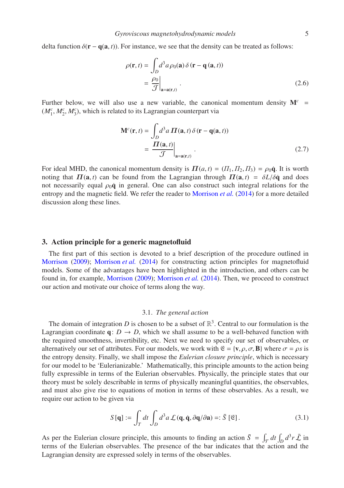delta function  $\delta(\mathbf{r} - \mathbf{q}(\mathbf{a}, t))$ . For instance, we see that the density can be treated as follows:

<span id="page-4-2"></span>
$$
\rho(\mathbf{r},t) = \int_{D} d^{3} a \rho_{0}(\mathbf{a}) \delta(\mathbf{r} - \mathbf{q}(\mathbf{a},t))
$$

$$
= \frac{\rho_{0}}{\mathcal{J}}\Big|_{\mathbf{a} = \mathbf{a}(\mathbf{r},t)}.
$$
(2.6)

Further below, we will also use a new variable, the canonical momentum density  $M<sup>c</sup>$  $(M_1^c, M_2^c, M_3^c)$ , which is related to its Lagrangian counterpart via

<span id="page-4-1"></span>
$$
\mathbf{M}^{c}(\mathbf{r},t) = \int_{D} d^{3} a \, \mathbf{\Pi}(\mathbf{a},t) \, \delta(\mathbf{r} - \mathbf{q}(\mathbf{a},t))
$$

$$
= \left. \frac{\mathbf{\Pi}(\mathbf{a},t)}{\mathcal{J}} \right|_{\mathbf{a} = \mathbf{a}(\mathbf{r},t)}.
$$
(2.7)

For ideal MHD, the canonical momentum density is  $\Pi(a, t) = (T_1, T_2, T_3) = \rho_0 \dot{q}$ . It is worth noting that  $\Pi(a, t)$  can be found from the Lagrangian through  $\Pi(a, t) = \delta L/\delta \dot{a}$  and does not necessarily equal  $\rho_0 \dot{q}$  in general. One can also construct such integral relations for the entropy and the magnetic field. We refer the reader to [Morrison](#page-23-14) *et al.* [\(2014](#page-23-14)) for a more detailed discussion along these lines.

# <span id="page-4-0"></span>3. Action principle for a generic magnetofluid

The first part of this section is devoted to a brief description of the procedure outlined in [Morrison](#page-23-10) [\(2009\)](#page-23-10); [Morrison](#page-23-14) *et al.* [\(2014\)](#page-23-14) for constructing action principles for magnetofluid models. Some of the advantages have been highlighted in the introduction, and others can be found in, for example, [Morrison](#page-23-10) [\(2009\)](#page-23-10); [Morrison](#page-23-14) *et al.* [\(2014\)](#page-23-14). Then, we proceed to construct our action and motivate our choice of terms along the way.

#### 3.1. *The general action*

The domain of integration  $D$  is chosen to be a subset of  $\mathbb{R}^3$ . Central to our formulation is the Lagrangian coordinate  $q: D \to D$ , which we shall assume to be a well-behaved function with the required smoothness, invertibility, etc. Next we need to specify our set of observables, or alternatively our set of attributes. For our models, we work with  $\mathfrak{E} = \{v, \rho, \sigma, B\}$  where  $\sigma = \rho s$  is the entropy density. Finally, we shall impose the *Eulerian closure principle*, which is necessary for our model to be 'Eulerianizable.' Mathematically, this principle amounts to the action being fully expressible in terms of the Eulerian observables. Physically, the principle states that our theory must be solely describable in terms of physically meaningful quantities, the observables, and must also give rise to equations of motion in terms of these observables. As a result, we require our action to be given via

$$
S[\mathbf{q}] := \int_{T} dt \int_{D} d^{3} a \mathcal{L}(\mathbf{q}, \dot{\mathbf{q}}, \partial \mathbf{q}/\partial \mathbf{a}) =: \bar{S}[\mathfrak{E}].
$$
 (3.1)

As per the Eulerian closure principle, this amounts to finding an action  $\bar{S} = \int_{\mathcal{T}} dt \int_D d^3r \bar{\mathcal{L}}$  in terms of the Eulerian observables. The presence of the bar indicates that the action and the Lagrangian density are expressed solely in terms of the observables.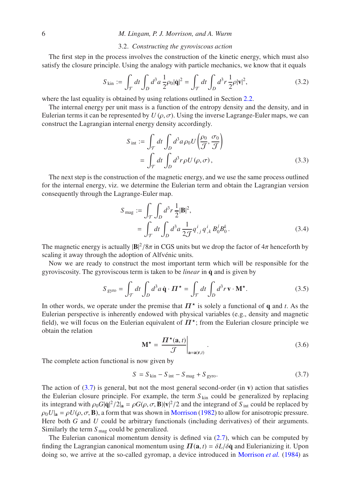#### 3.2. *Constructing the gyroviscous action*

<span id="page-5-1"></span>The first step in the process involves the construction of the kinetic energy, which must also satisfy the closure principle. Using the analogy with particle mechanics, we know that it equals

$$
S_{\text{kin}} := \int_{\mathcal{T}} dt \int_{D} d^3 a \, \frac{1}{2} \rho_0 |\dot{\mathbf{q}}|^2 = \int_{\mathcal{T}} dt \int_{D} d^3 r \, \frac{1}{2} \rho |\mathbf{v}|^2,\tag{3.2}
$$

where the last equality is obtained by using relations outlined in Section [2.2.](#page-2-3)

The internal energy per unit mass is a function of the entropy density and the density, and in Eulerian terms it can be represented by  $U(\rho, \sigma)$ . Using the inverse Lagrange-Euler maps, we can construct the Lagrangian internal energy density accordingly.

<span id="page-5-2"></span>
$$
S_{\text{int}} := \int_{\mathcal{T}} dt \int_{D} d^{3} a \rho_{0} U\left(\frac{\rho_{0}}{\mathcal{T}}, \frac{\sigma_{0}}{\mathcal{T}}\right)
$$

$$
= \int_{\mathcal{T}} dt \int_{D} d^{3} r \rho U(\rho, \sigma), \qquad (3.3)
$$

The next step is the construction of the magnetic energy, and we use the same process outlined for the internal energy, viz. we determine the Eulerian term and obtain the Lagrangian version consequently through the Lagrange-Euler map.

<span id="page-5-3"></span>
$$
S_{\text{mag}} := \int_{\mathcal{T}} \int_{D} d^{3}r \frac{1}{2} |\mathbf{B}|^{2},
$$
  
= 
$$
\int_{\mathcal{T}} dt \int_{D} d^{3}a \frac{1}{2\mathcal{T}} q^{i}_{,j} q^{i}_{,k} B^{j}_{0} B^{k}_{0}.
$$
 (3.4)

The magnetic energy is actually  $|B|^2/8\pi$  in CGS units but we drop the factor of  $4\pi$  henceforth by scaling it away through the adoption of Alfvénic units.

Now we are ready to construct the most important term which will be responsible for the gyroviscosity. The gyroviscous term is taken to be *linear* in q˙ and is given by

$$
S_{\rm gyro} = \int_{\mathcal{T}} dt \int_{D} d^3 a \, \dot{\mathbf{q}} \cdot \boldsymbol{\Pi}^{\star} = \int_{\mathcal{T}} dt \int_{D} d^3 r \, \mathbf{v} \cdot \mathbf{M}^{\star}.
$$
 (3.5)

In other words, we operate under the premise that  $\Pi^*$  is solely a functional of q and *t*. As the Eulerian perspective is inherently endowed with physical variables (e.g., density and magnetic field), we will focus on the Eulerian equivalent of  $\Pi^*$ ; from the Eulerian closure principle we obtain the relation

<span id="page-5-0"></span>
$$
\mathbf{M}^{\star} = \left. \frac{\boldsymbol{\Pi}^{\star}(\mathbf{a}, t)}{\mathcal{J}} \right|_{\mathbf{a} = \mathbf{a}(\mathbf{r}, t)} . \tag{3.6}
$$

The complete action functional is now given by

$$
S = S_{\text{kin}} - S_{\text{int}} - S_{\text{mag}} + S_{\text{gyro}}.\tag{3.7}
$$

The action of  $(3.7)$  is general, but not the most general second-order (in v) action that satisfies the Eulerian closure principle. For example, the term  $S_{kin}$  could be generalized by replacing its integrand with  $\rho_0 G |\dot{q}|^2 / 2|_a = \rho G(\rho, \sigma, B) |\mathbf{v}|^2 / 2$  and the integrand of *S* <sub>int</sub> could be replaced by  $\rho_0 U|_a = \rho U(\rho, \sigma, B)$ , a form that was shown in [Morrison](#page-23-7) [\(1982\)](#page-23-7) to allow for anisotropic pressure. Here both *G* and *U* could be arbitrary functionals (including derivatives) of their arguments. Similarly the term  $S_{\text{mag}}$  could be generalized.

The Eulerian canonical momentum density is defined via [\(2.7\)](#page-4-1), which can be computed by finding the Lagrangian canonical momentum using  $\Pi(\mathbf{a}, t) = \delta L/\delta \dot{\mathbf{q}}$  and Eulerianizing it. Upon doing so, we arrive at the so-called gyromap, a device introduced in [Morrison](#page-23-5) *et al.* [\(1984\)](#page-23-5) as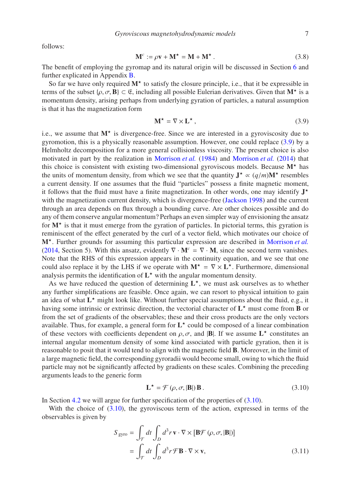*Gyroviscous magnetohydrodynamic models* 7

<span id="page-6-2"></span>follows:

$$
\mathbf{M}^c := \rho \mathbf{v} + \mathbf{M}^\star = \mathbf{M} + \mathbf{M}^\star \,. \tag{3.8}
$$

The benefit of employing the gyromap and its natural origin will be discussed in Section [6](#page-12-0) and further explicated in Appendix [B.](#page-18-0)

So far we have only required  $M^*$  to satisfy the closure principle, i.e., that it be expressible in terms of the subset  $\{\rho, \sigma, \mathbf{B}\}\subset \mathfrak{E}$ , including all possible Eulerian derivatives. Given that  $\mathbf{M}^{\star}$  is a momentum density, arising perhaps from underlying gyration of particles, a natural assumption is that it has the magnetization form

<span id="page-6-0"></span>
$$
\mathbf{M}^{\star} = \nabla \times \mathbf{L}^{\star},\tag{3.9}
$$

i.e., we assume that  $M^*$  is divergence-free. Since we are interested in a gyroviscosity due to gyromotion, this is a physically reasonable assumption. However, one could replace [\(3.9\)](#page-6-0) by a Helmholtz decomposition for a more general collisionless viscosity. The present choice is also motivated in part by the realization in [Morrison](#page-23-5) *et al.* [\(1984\)](#page-23-5) and [Morrison](#page-23-14) *et al.* [\(2014\)](#page-23-14) that this choice is consistent with existing two-dimensional gyroviscous models. Because  $M^*$  has the units of momentum density, from which we see that the quantity  $J^* \propto (q/m)M^*$  resembles a current density. If one assumes that the fluid "particles" possess a finite magnetic moment, it follows that the fluid must have a finite magnetization. In other words, one may identify  $J^{\star}$ with the magnetization current density, which is divergence-free [\(Jackson 1998\)](#page-21-15) and the current through an area depends on flux through a bounding curve. Are other choices possible and do any of them conserve angular momentum? Perhaps an even simpler way of envisioning the ansatz for  $M^{\star}$  is that it must emerge from the gyration of particles. In pictorial terms, this gyration is reminiscent of the effect generated by the curl of a vector field, which motivates our choice of M<sup>\*</sup>. Further grounds for assuming this particular expression are described in [Morrison](#page-23-14) et al. [\(2014,](#page-23-14) Section 5). With this ansatz, evidently  $\nabla \cdot \mathbf{M}^c = \nabla \cdot \mathbf{M}$ , since the second term vanishes. Note that the RHS of this expression appears in the continuity equation, and we see that one could also replace it by the LHS if we operate with  $M^* = \nabla \times L^*$ . Furthermore, dimensional analysis permits the identification of  $L^*$  with the angular momentum density.

As we have reduced the question of determining  $L^*$ , we must ask ourselves as to whether any further simplifications are feasible. Once again, we can resort to physical intuition to gain an idea of what  $L^*$  might look like. Without further special assumptions about the fluid, e.g., it having some intrinsic or extrinsic direction, the vectorial character of  $L^*$  must come from **B** or from the set of gradients of the observables; these and their cross products are the only vectors available. Thus, for example, a general form for  $L^*$  could be composed of a linear combination of these vectors with coefficients dependent on  $\rho$ ,  $\sigma$ , and  $|B|$ . If we assume  $L^*$  constitutes an internal angular momentum density of some kind associated with particle gyration, then it is reasonable to posit that it would tend to align with the magnetic field B. Moreover, in the limit of a large magnetic field, the corresponding gyroradii would become small, owing to which the fluid particle may not be significantly affected by gradients on these scales. Combining the preceding arguments leads to the generic form

<span id="page-6-1"></span>
$$
\mathbf{L}^{\star} = \mathcal{F}\left(\rho, \sigma, |\mathbf{B}| \right) \mathbf{B} \,. \tag{3.10}
$$

In Section [4.2](#page-8-0) we will argue for further specification of the properties of [\(3.10\)](#page-6-1).

With the choice of  $(3.10)$ , the gyroviscous term of the action, expressed in terms of the observables is given by

$$
S_{\text{gyro}} = \int_{\mathcal{T}} dt \int_{D} d^{3} r \mathbf{v} \cdot \nabla \times [\mathbf{B} \mathcal{F}(\rho, \sigma, |\mathbf{B}|)]
$$
  
= 
$$
\int_{\mathcal{T}} dt \int_{D} d^{3} r \mathcal{F} \mathbf{B} \cdot \nabla \times \mathbf{v},
$$
 (3.11)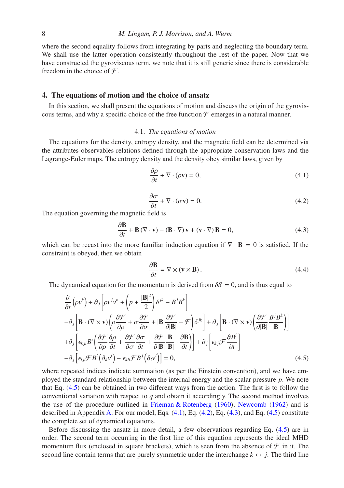where the second equality follows from integrating by parts and neglecting the boundary term. We shall use the latter operation consistently throughout the rest of the paper. Now that we have constructed the gyroviscous term, we note that it is still generic since there is considerable freedom in the choice of  $\mathcal{F}$ .

# <span id="page-7-0"></span>4. The equations of motion and the choice of ansatz

In this section, we shall present the equations of motion and discuss the origin of the gyroviscous terms, and why a specific choice of the free function  $\mathcal F$  emerges in a natural manner.

#### 4.1. *The equations of motion*

The equations for the density, entropy density, and the magnetic field can be determined via the attributes-observables relations defined through the appropriate conservation laws and the Lagrange-Euler maps. The entropy density and the density obey similar laws, given by

<span id="page-7-2"></span>
$$
\frac{\partial \rho}{\partial t} + \nabla \cdot (\rho \mathbf{v}) = 0,\tag{4.1}
$$

<span id="page-7-4"></span>
$$
\frac{\partial \sigma}{\partial t} + \nabla \cdot (\sigma \mathbf{v}) = 0.
$$
\n(4.2)

<span id="page-7-3"></span>The equation governing the magnetic field is

$$
\frac{\partial \mathbf{B}}{\partial t} + \mathbf{B} (\nabla \cdot \mathbf{v}) - (\mathbf{B} \cdot \nabla) \mathbf{v} + (\mathbf{v} \cdot \nabla) \mathbf{B} = 0,
$$
 (4.3)

which can be recast into the more familiar induction equation if  $\nabla \cdot \mathbf{B} = 0$  is satisfied. If the constraint is obeyed, then we obtain

$$
\frac{\partial \mathbf{B}}{\partial t} = \nabla \times (\mathbf{v} \times \mathbf{B}).\tag{4.4}
$$

The dynamical equation for the momentum is derived from  $\delta S = 0$ , and is thus equal to

<span id="page-7-1"></span>
$$
\frac{\partial}{\partial t} \left( \rho v^{k} \right) + \partial_{j} \left[ \rho v^{j} v^{k} + \left( p + \frac{|\mathbf{B}|^{2}}{2} \right) \delta^{jk} - B^{j} B^{k} \right] \n- \partial_{j} \left[ \mathbf{B} \cdot (\nabla \times \mathbf{v}) \left( \rho \frac{\partial \mathcal{F}}{\partial \rho} + \sigma \frac{\partial \mathcal{F}}{\partial \sigma} + |\mathbf{B}| \frac{\partial \mathcal{F}}{\partial |\mathbf{B}|} - \mathcal{F} \right) \delta^{jk} \right] + \partial_{j} \left[ \mathbf{B} \cdot (\nabla \times \mathbf{v}) \left( \frac{\partial \mathcal{F}}{\partial |\mathbf{B}|} \frac{B^{j} B^{k}}{|\mathbf{B}|} \right) \right] \n+ \partial_{j} \left[ \epsilon_{kj} B^{i} \left( \frac{\partial \mathcal{F}}{\partial \rho} \frac{\partial \rho}{\partial t} + \frac{\partial \mathcal{F}}{\partial \sigma} \frac{\partial \sigma}{\partial t} + \frac{\partial \mathcal{F}}{\partial |\mathbf{B}|} \frac{\mathbf{B}}{|\mathbf{B}|} \cdot \frac{\partial \mathbf{B}}{\partial t} \right) \right] + \partial_{j} \left[ \epsilon_{kj} \mathcal{F} \frac{\partial B^{i}}{\partial t} \right] \n- \partial_{j} \left[ \epsilon_{lj} \mathcal{F} B^{l} \left( \partial_{k} v^{i} \right) - \epsilon_{kli} \mathcal{F} B^{j} \left( \partial_{l} v^{i} \right) \right] = 0,
$$
\n(4.5)

where repeated indices indicate summation (as per the Einstein convention), and we have employed the standard relationship between the internal energy and the scalar pressure *p*. We note that Eq. [\(4.5\)](#page-7-1) can be obtained in two different ways from the action. The first is to follow the conventional variation with respect to *q* and obtain it accordingly. The second method involves the use of the procedure outlined in [Frieman & Rotenberg](#page-20-7) [\(1960](#page-20-7)); [Newcomb](#page-23-12) [\(1962\)](#page-23-12) and is described in Appendix [A.](#page-17-0) For our model, Eqs. [\(4.1\)](#page-7-2), Eq. [\(4.2\)](#page-7-3), Eq. [\(4.3\)](#page-7-4), and Eq. [\(4.5\)](#page-7-1) constitute the complete set of dynamical equations.

Before discussing the ansatz in more detail, a few observations regarding Eq. [\(4.5\)](#page-7-1) are in order. The second term occurring in the first line of this equation represents the ideal MHD momentum flux (enclosed in square brackets), which is seen from the absence of  $\mathcal F$  in it. The second line contain terms that are purely symmetric under the interchange  $k \leftrightarrow j$ . The third line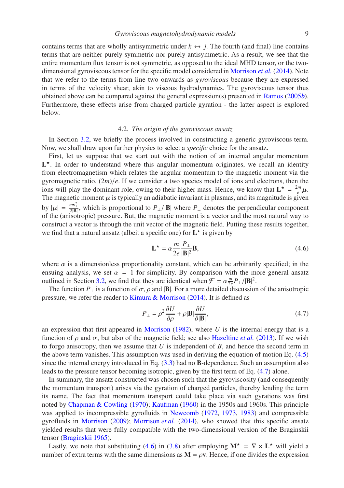contains terms that are wholly antisymmetric under  $k \leftrightarrow j$ . The fourth (and final) line contains terms that are neither purely symmetric nor purely antisymmetric. As a result, we see that the entire momentum flux tensor is not symmetric, as opposed to the ideal MHD tensor, or the twodimensional gyroviscous tensor for the specific model considered in [Morrison](#page-23-14) *et al.* [\(2014\)](#page-23-14). Note that we refer to the terms from line two onwards as *gyroviscous* because they are expressed in terms of the velocity shear, akin to viscous hydrodynamics. The gyroviscous tensor thus obtained above can be compared against the general expression(s) presented in [Ramos](#page-24-18) [\(2005](#page-24-18)*b*). Furthermore, these effects arise from charged particle gyration - the latter aspect is explored below.

#### 4.2. *The origin of the gyroviscous ansatz*

<span id="page-8-0"></span>In Section [3.2,](#page-5-1) we briefly the process involved in constructing a generic gyroviscous term. Now, we shall draw upon further physics to select a *specific* choice for the ansatz.

First, let us suppose that we start out with the notion of an internal angular momentum  $L^*$ . In order to understand where this angular momentum originates, we recall an identity from electromagnetism which relates the angular momentum to the magnetic moment via the gyromagnetic ratio,  $(2m)/e$ . If we consider a two species model of ions and electrons, then the ions will play the dominant role, owing to their higher mass. Hence, we know that  $L^* = \frac{2m}{e} \mu$ . The magnetic moment  $\mu$  is typically an adiabatic invariant in plasmas, and its magnitude is given by  $|\mu| = \frac{mv_{\perp}^2}{2|\mathbf{B}|}$ , which is proportional to  $P_{\perp}/|\mathbf{B}|$  where  $P_{\perp}$  denotes the perpendicular component of the (anisotropic) pressure. But, the magnetic moment is a vector and the most natural way to construct a vector is through the unit vector of the magnetic field. Putting these results together, we find that a natural ansatz (albeit a specific one) for  $L^*$  is given by

<span id="page-8-2"></span>
$$
\mathbf{L}^{\star} = \alpha \frac{m}{2e} \frac{P_{\perp}}{|\mathbf{B}|^2} \mathbf{B},\tag{4.6}
$$

where  $\alpha$  is a dimensionless proportionality constant, which can be arbitrarily specified; in the ensuing analysis, we set  $\alpha = 1$  for simplicity. By comparison with the more general ansatz outlined in Section [3.2,](#page-5-1) we find that they are identical when  $\mathcal{F} = \alpha \frac{m}{2e} P_{\perp}/|\mathbf{B}|^2$ .

The function  $P_{\perp}$  is a function of  $\sigma$ ,  $\rho$  and  $|\mathbf{B}|$ . For a more detailed discussion of the anisotropic pressure, we refer the reader to [Kimura & Morrison](#page-22-9) [\(2014\)](#page-22-9). It is defined as

<span id="page-8-1"></span>
$$
P_{\perp} = \rho^2 \frac{\partial U}{\partial \rho} + \rho |\mathbf{B}| \frac{\partial U}{\partial |\mathbf{B}|},\tag{4.7}
$$

an expression that first appeared in [Morrison](#page-23-7) [\(1982\)](#page-23-7), where *U* is the internal energy that is a function of  $ρ$  and  $σ$ , but also of the magnetic field; see also [Hazeltine](#page-21-16) *et al.* [\(2013\)](#page-21-16). If we wish to forgo anisotropy, then we assume that *U* is independent of *B*, and hence the second term in the above term vanishes. This assumption was used in deriving the equation of motion Eq. [\(4.5\)](#page-7-1) since the internal energy introduced in Eq. [\(3.3\)](#page-5-2) had no B-dependence. Such an assumption also leads to the pressure tensor becoming isotropic, given by the first term of Eq. [\(4.7\)](#page-8-1) alone.

In summary, the ansatz constructed was chosen such that the gyroviscosity (and consequently the momentum transport) arises via the gyration of charged particles, thereby lending the term its name. The fact that momentum transport could take place via such gyrations was first noted by [Chapman & Cowling](#page-20-8) [\(1970](#page-20-8)); [Kaufman](#page-21-17) [\(1960\)](#page-21-17) in the 1950s and 1960s. This principle was applied to incompressible gyrofluids in [Newcomb](#page-23-15) [\(1972](#page-23-15), [1973,](#page-23-16) [1983\)](#page-23-17) and compressible gyrofluids in [Morrison](#page-23-10) [\(2009\)](#page-23-10); [Morrison](#page-23-14) *et al.* [\(2014\)](#page-23-14), who showed that this specific ansatz yielded results that were fully compatible with the two-dimensional version of the Braginskii tensor [\(Braginskii 1965](#page-19-1)).

Lastly, we note that substituting [\(4.6\)](#page-8-2) in [\(3.8\)](#page-6-2) after employing  $M^* = \nabla \times L^*$  will yield a number of extra terms with the same dimensions as  $M = \rho v$ . Hence, if one divides the expression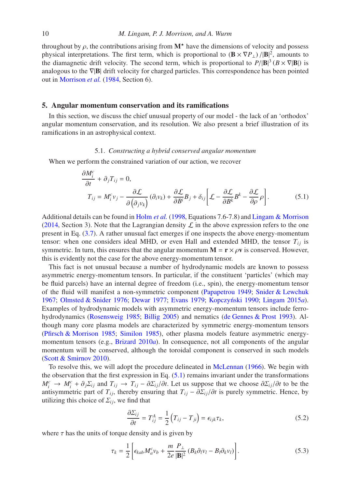throughout by  $\rho$ , the contributions arising from  $M^*$  have the dimensions of velocity and possess physical interpretations. The first term, which is proportional to  $(\mathbf{B} \times \nabla P_{\perp})/|\mathbf{B}|^2$ , amounts to the diamagnetic drift velocity. The second term, which is proportional to  $P/|\mathbf{B}|^3 (B \times \nabla | \mathbf{B}|)$  is analogous to the ∇|B| drift velocity for charged particles. This correspondence has been pointed out in [Morrison](#page-23-5) *et al.* [\(1984,](#page-23-5) Section 6).

#### 5. Angular momentum conservation and its ramifications

In this section, we discuss the chief unusual property of our model - the lack of an 'orthodox' angular momentum conservation, and its resolution. We also present a brief illustration of its ramifications in an astrophysical context.

#### 5.1. *Constructing a hybrid conserved angular momentum*

When we perform the constrained variation of our action, we recover

<span id="page-9-0"></span>
$$
\frac{\partial M_i^c}{\partial t} + \partial_j T_{ij} = 0,
$$
\n
$$
T_{ij} = M_i^c v_j - \frac{\partial \mathcal{L}}{\partial (\partial_j v_k)} (\partial_i v_k) + \frac{\partial \mathcal{L}}{\partial B^i} B_j + \delta_{ij} \left[ \mathcal{L} - \frac{\partial \mathcal{L}}{\partial B^k} B^k - \frac{\partial \mathcal{L}}{\partial \rho} \rho \right].
$$
\n(5.1)

Additional details can be found in [Holm](#page-21-14) *et al.* [\(1998,](#page-21-14) Equations 7.6-7.8) and [Lingam & Morrison](#page-22-3) [\(2014,](#page-22-3) Section 3). Note that the Lagrangian density  $\mathcal L$  in the above expression refers to the one present in Eq. [\(3.7\)](#page-5-0). A rather unusual fact emerges if one inspects the above energy-momentum tensor: when one considers ideal MHD, or even Hall and extended MHD, the tensor  $T_{ii}$  is symmetric. In turn, this ensures that the angular momentum  $M = r \times \rho v$  is conserved. However, this is evidently not the case for the above energy-momentum tensor.

This fact is not unusual because a number of hydrodynamic models are known to possess asymmetric energy-momentum tensors. In particular, if the constituent 'particles' (which may be fluid parcels) have an internal degree of freedom (i.e., spin), the energy-momentum tensor of the fluid will manifest a non-symmetric component [\(Papapetrou 1949;](#page-23-18) [Snider & Lewchuk](#page-24-19) [1967;](#page-24-19) [Olmsted & Snider 1976;](#page-23-19) [Dewar 1977](#page-20-9); [Evans 1979;](#page-20-10) Kopczyński 1990; [Lingam 2015](#page-22-14)a). Examples of hydrodynamic models with asymmetric energy-momentum tensors include ferrohydrodynamics [\(Rosensweig 1985;](#page-24-20) [Billig 2005\)](#page-19-13) and nematics [\(de Gennes & Prost 1993\)](#page-20-11). Although many core plasma models are characterized by symmetric energy-momentum tensors [\(Pfirsch & Morrison 1985](#page-24-21); [Similon 1985\)](#page-24-22), other plasma models feature asymmetric energymomentum tensors (e.g., [Brizard 2010](#page-19-14)*a*). In consequence, not all components of the angular momentum will be conserved, although the toroidal component is conserved in such models [\(Scott & Smirnov 2010](#page-24-23)).

To resolve this, we will adopt the procedure delineated in [McLennan](#page-23-20) [\(1966](#page-23-20)). We begin with the observation that the first expression in Eq.  $(5.1)$  remains invariant under the transformations  $M_i^c \to M_i^c + \partial_j \Sigma_{ij}$  and  $T_{ij} \to T_{ij} - \partial \Sigma_{ij}/\partial t$ . Let us suppose that we choose  $\partial \Sigma_{ij}/\partial t$  to be the antisymmetric part of  $T_{ij}$ , thereby ensuring that  $T_{ij} - \partial \Sigma_{ij}/\partial t$  is purely symmetric. Hence, by utilizing this choice of  $\Sigma_{ij}$ , we find that

<span id="page-9-2"></span><span id="page-9-1"></span>
$$
\frac{\partial \Sigma_{ij}}{\partial t} = T_{ij}^A = \frac{1}{2} \left( T_{ij} - T_{ji} \right) = \epsilon_{ijk} \tau_k,
$$
\n(5.2)

where  $\tau$  has the units of torque density and is given by

$$
\tau_k = \frac{1}{2} \left[ \epsilon_{kab} M_a^c v_b + \frac{m}{2e} \frac{P_\perp}{|\mathbf{B}|^2} \left( B_k \partial_l v_l - B_l \partial_k v_l \right) \right]. \tag{5.3}
$$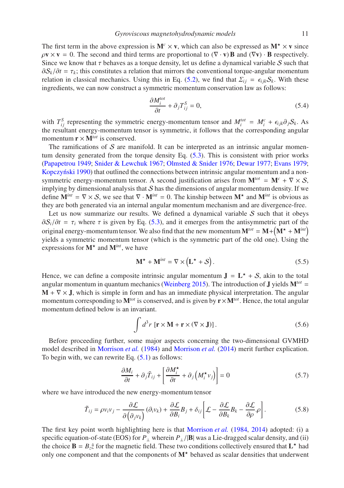The first term in the above expression is  $M<sup>c</sup> \times v$ , which can also be expressed as  $M<sup>*</sup> \times v$  since  $\rho \mathbf{v} \times \mathbf{v} = 0$ . The second and third terms are proportional to  $(\nabla \cdot \mathbf{v})\mathbf{B}$  and  $(\nabla \mathbf{v}) \cdot \mathbf{B}$  respectively. Since we know that  $\tau$  behaves as a torque density, let us define a dynamical variable S such that  $\partial S_k/\partial t = \tau_k$ ; this constitutes a relation that mirrors the conventional torque-angular momentum relation in classical mechanics. Using this in Eq. [\(5.2\)](#page-9-1), we find that  $\Sigma_{ij} = \epsilon_{ijk} S_k$ . With these ingredients, we can now construct a symmetric momentum conservation law as follows:

$$
\frac{\partial M_i^{tot}}{\partial t} + \partial_j T_{ij}^S = 0,\tag{5.4}
$$

with  $T_{ij}^S$  representing the symmetric energy-momentum tensor and  $M_i^{tot} = M_i^c + \epsilon_{ijk}\partial_j S_k$ . As the resultant energy-momentum tensor is symmetric, it follows that the corresponding angular momentum  $\mathbf{r} \times \mathbf{M}^{tot}$  is conserved.

The ramifications of  $S$  are manifold. It can be interpreted as an intrinsic angular momentum density generated from the torque density Eq. [\(5.3\)](#page-9-2). This is consistent with prior works [\(Papapetrou 1949;](#page-23-18) [Snider & Lewchuk 1967;](#page-24-19) [Olmsted & Snider 1976](#page-23-19); [Dewar 1977;](#page-20-9) [Evans 1979;](#page-20-10) Kopczyński 1990) that outlined the connections between intrinsic angular momentum and a nonsymmetric energy-momentum tensor. A second justification arises from  $M^{tot} = M^c + \nabla \times S$ , implying by dimensional analysis that  $S$  has the dimensions of angular momentum density. If we define  $M^{int} = \nabla \times S$ , we see that  $\nabla \cdot M^{int} = 0$ . The kinship between  $M^*$  and  $M^{int}$  is obvious as they are both generated via an internal angular momentum mechanism and are divergence-free.

Let us now summarize our results. We defined a dynamical variable  $S$  such that it obeys  $\partial S_i/\partial t = \tau_i$ , where  $\tau$  is given by Eq. [\(5.3\)](#page-9-2), and it emerges from the antisymmetric part of the original energy-momentum tensor. We also find that the new momentum  $M^{tot} = M + (M^* + M^{int})$ yields a symmetric momentum tensor (which is the symmetric part of the old one). Using the expressions for  $M^*$  and  $M^{int}$ , we have

$$
\mathbf{M}^{\star} + \mathbf{M}^{int} = \nabla \times (\mathbf{L}^{\star} + \mathcal{S}). \tag{5.5}
$$

Hence, we can define a composite intrinsic angular momentum  $J = L^* + S$ , akin to the total angular momentum in quantum mechanics [\(Weinberg 2015](#page-25-14)). The introduction of **J** yields  $M^{tot}$  =  $M + \nabla \times J$ , which is simple in form and has an immediate physical interpretation. The angular momentum corresponding to  $M^{tot}$  is conserved, and is given by  $r \times M^{tot}$ . Hence, the total angular momentum defined below is an invariant.

<span id="page-10-2"></span><span id="page-10-0"></span>
$$
\int d^3r \, [\mathbf{r} \times \mathbf{M} + \mathbf{r} \times (\nabla \times \mathbf{J})]. \tag{5.6}
$$

Before proceeding further, some major aspects concerning the two-dimensional GVMHD model described in [Morrison](#page-23-5) *et al.* [\(1984\)](#page-23-5) and [Morrison](#page-23-14) *et al.* [\(2014\)](#page-23-14) merit further explication. To begin with, we can rewrite Eq.  $(5.1)$  as follows:

<span id="page-10-1"></span>
$$
\frac{\partial M_i}{\partial t} + \partial_j \tilde{T}_{ij} + \left[ \frac{\partial M_i^{\star}}{\partial t} + \partial_j \left( M_i^{\star} v_j \right) \right] = 0 \tag{5.7}
$$

where we have introduced the new energy-momentum tensor

$$
\tilde{T}_{ij} = \rho v_i v_j - \frac{\partial \mathcal{L}}{\partial \left(\partial_j v_k\right)} \left(\partial_i v_k\right) + \frac{\partial \mathcal{L}}{\partial B_i} B_j + \delta_{ij} \left[ \mathcal{L} - \frac{\partial \mathcal{L}}{\partial B_k} B_k - \frac{\partial \mathcal{L}}{\partial \rho} \rho \right].
$$
\n(5.8)

The first key point worth highlighting here is that [Morrison](#page-23-5) *et al.* [\(1984,](#page-23-5) [2014\)](#page-23-14) adopted: (i) a specific equation-of-state (EOS) for *P*<sub>⊥</sub> wherein *P*<sub>⊥</sub>/|**B**| was a Lie-dragged scalar density, and (ii) the choice  $\mathbf{B} = B_z \hat{z}$  for the magnetic field. These two conditions collectively ensured that  $\mathbf{L}^*$  had only one component and that the components of  $M^*$  behaved as scalar densities that underwent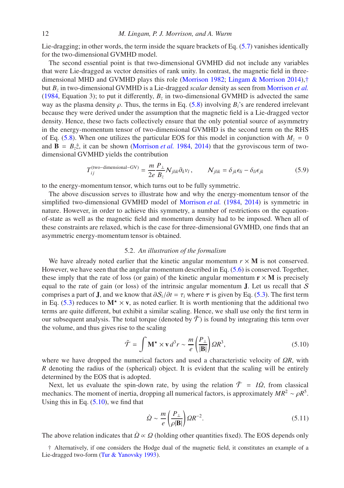Lie-dragging; in other words, the term inside the square brackets of Eq. [\(5.7\)](#page-10-0) vanishes identically for the two-dimensional GVMHD model.

The second essential point is that two-dimensional GVMHD did not include any variables that were Lie-dragged as vector densities of rank unity. In contrast, the magnetic field in threedimensional MHD and GVMHD plays this role [\(Morrison 1982;](#page-23-7) [Lingam & Morrison 2014\)](#page-22-3),[†](#page-11-0) but *B<sup>z</sup>* in two-dimensional GVMHD is a Lie-dragged *scalar* density as seen from [Morrison](#page-23-5) *et al.* [\(1984,](#page-23-5) Equation 3); to put it differently,  $B_z$  in two-dimensional GVMHD is advected the same way as the plasma density  $\rho$ . Thus, the terms in Eq. [\(5.8\)](#page-10-1) involving  $B_i$ <sup>'s</sup> are rendered irrelevant because they were derived under the assumption that the magnetic field is a Lie-dragged vector density. Hence, these two facts collectively ensure that the only potential source of asymmetry in the energy-momentum tensor of two-dimensional GVMHD is the second term on the RHS of Eq. [\(5.8\)](#page-10-1). When one utilizes the particular EOS for this model in conjunction with  $M<sub>z</sub> = 0$ and  $\mathbf{B} = B_z\hat{z}$ , it can be shown [\(Morrison](#page-23-5) *et al.* [1984](#page-23-5), [2014](#page-23-14)) that the gyroviscous term of twodimensional GVMHD yields the contribution

$$
T_{ij}^{(\text{two-dimensional}-\text{GV})} = \frac{m}{2e} \frac{P_{\perp}}{B_z} \mathcal{N}_{jlik} \partial_k v_l, \qquad \mathcal{N}_{jlik} = \delta_{jk} \epsilon_{li} - \delta_{li} \epsilon_{jk}
$$
(5.9)

to the energy-momentum tensor, which turns out to be fully symmetric.

The above discussion serves to illustrate how and why the energy-momentum tensor of the simplified two-dimensional GVMHD model of [Morrison](#page-23-5) *et al.* [\(1984,](#page-23-5) [2014\)](#page-23-14) is symmetric in nature. However, in order to achieve this symmetry, a number of restrictions on the equationof-state as well as the magnetic field and momentum density had to be imposed. When all of these constraints are relaxed, which is the case for three-dimensional GVMHD, one finds that an asymmetric energy-momentum tensor is obtained.

#### 5.2. *An illustration of the formalism*

We have already noted earlier that the kinetic angular momentum  $r \times M$  is not conserved. However, we have seen that the angular momentum described in Eq. [\(5.6\)](#page-10-2) is conserved. Together, these imply that the rate of loss (or gain) of the kinetic angular momentum  $\mathbf{r} \times \mathbf{M}$  is precisely equal to the rate of gain (or loss) of the intrinsic angular momentum  $J$ . Let us recall that  $S$ comprises a part of **J**, and we know that  $\partial S_i/\partial t = \tau_i$  where  $\tau$  is given by Eq. [\(5.3\)](#page-9-2). The first term in Eq. [\(5.3\)](#page-9-2) reduces to  $M^* \times v$ , as noted earlier. It is worth mentioning that the additional two terms are quite different, but exhibit a similar scaling. Hence, we shall use only the first term in our subsequent analysis. The total torque (denoted by  $\tilde{T}$ ) is found by integrating this term over the volume, and thus gives rise to the scaling

<span id="page-11-1"></span>
$$
\tilde{\mathcal{T}} = \int \mathbf{M}^{\star} \times \mathbf{v} \, d^3 r \sim \frac{m}{e} \left( \frac{P_{\perp}}{|\mathbf{B}|} \right) \Omega R^3,\tag{5.10}
$$

where we have dropped the numerical factors and used a characteristic velocity of Ω*R*, with *R* denoting the radius of the (spherical) object. It is evident that the scaling will be entirely determined by the EOS that is adopted.

Next, let us evaluate the spin-down rate, by using the relation  $\tilde{T} = I\dot{Q}$ , from classical mechanics. The moment of inertia, dropping all numerical factors, is approximately  $MR^2 \sim \rho R^5$ . Using this in Eq.  $(5.10)$ , we find that

$$
\dot{\Omega} \sim \frac{m}{e} \left( \frac{P_{\perp}}{\rho |\mathbf{B}|} \right) \Omega R^{-2}.
$$
\n(5.11)

The above relation indicates that  $\dot{Q} \propto Q$  (holding other quantities fixed). The EOS depends only

<span id="page-11-0"></span>† Alternatively, if one considers the Hodge dual of the magnetic field, it constitutes an example of a Lie-dragged two-form [\(Tur & Yanovsky 1993](#page-25-15)).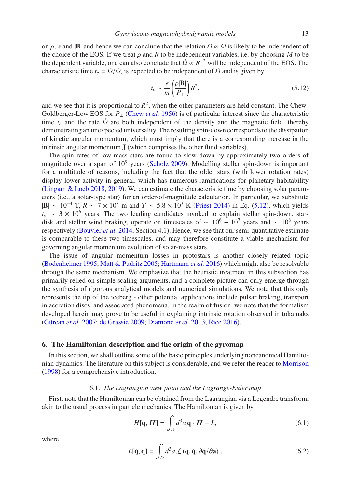on  $\rho$ , *s* and |B| and hence we can conclude that the relation  $\Omega \propto \Omega$  is likely to be independent of the choice of the EOS. If we treat  $\rho$  and  $R$  to be independent variables, i.e. by choosing  $M$  to be the dependent variable, one can also conclude that  $\dot{Q} \propto R^{-2}$  will be independent of the EOS. The characteristic time  $t_c = \frac{Q}{\dot{Q}}$ , is expected to be independent of  $\Omega$  and is given by

<span id="page-12-1"></span>
$$
t_c \sim \frac{e}{m} \left(\frac{\rho |\mathbf{B}|}{P_\perp}\right) R^2,\tag{5.12}
$$

and we see that it is proportional to  $R^2$ , when the other parameters are held constant. The Chew-Goldberger-Low EOS for *P*<sup>⊥</sup> [\(Chew](#page-20-12) *et al.* [1956\)](#page-20-12) is of particular interest since the characteristic time  $t_c$  and the rate  $\dot{Q}$  are both independent of the density and the magnetic field, thereby demonstrating an unexpected universality. The resulting spin-down corresponds to the dissipation of kinetic angular momentum, which must imply that there is a corresponding increase in the intrinsic angular momentum J (which comprises the other fluid variables).

The spin rates of low-mass stars are found to slow down by approximately two orders of magnitude over a span of  $10^9$  years [\(Scholz 2009\)](#page-24-24). Modelling stellar spin-down is important for a multitude of reasons, including the fact that the older stars (with lower rotation rates) display lower activity in general, which has numerous ramifications for planetary habitability [\(Lingam & Loeb 2018](#page-22-15), [2019\)](#page-22-16). We can estimate the characteristic time by choosing solar parameters (i.e., a solar-type star) for an order-of-magnitude calculation. In particular, we substitute |B| ∼ 10<sup>−</sup><sup>4</sup> T, *R* ∼ 7 × 10<sup>8</sup> m and *T* ∼ 5.8 × 10<sup>3</sup> K [\(Priest 2014\)](#page-24-25) in Eq. [\(5.12\)](#page-12-1), which yields  $t_c \sim 3 \times 10^6$  years. The two leading candidates invoked to explain stellar spin-down, stardisk and stellar wind braking, operate on timescales of  $\sim 10^6 - 10^7$  years and  $\sim 10^8$  years respectively [\(Bouvier](#page-19-15) *et al.* [2014,](#page-19-15) Section 4.1). Hence, we see that our semi-quantitative estimate is comparable to these two timescales, and may therefore constitute a viable mechanism for governing angular momentum evolution of solar-mass stars.

The issue of angular momentum losses in protostars is another closely related topic [\(Bodenheimer 1995](#page-19-16); [Matt & Pudritz 2005](#page-23-21); [Hartmann](#page-21-18) *et al.* [2016](#page-21-18)) which might also be resolvable through the same mechanism. We emphasize that the heuristic treatment in this subsection has primarily relied on simple scaling arguments, and a complete picture can only emerge through the synthesis of rigorous analytical models and numerical simulations. We note that this only represents the tip of the iceberg - other potential applications include pulsar braking, transport in accretion discs, and associated phenomena. In the realm of fusion, we note that the formalism developed herein may prove to be useful in explaining intrinsic rotation observed in tokamaks (Gürcan *et al.* [2007;](#page-21-19) [de Grassie 2009](#page-20-13); [Diamond](#page-20-14) *et al.* [2013](#page-20-14); [Rice 2016](#page-24-26)).

# <span id="page-12-0"></span>6. The Hamiltonian description and the origin of the gyromap

In this section, we shall outline some of the basic principles underlying noncanonical Hamiltonian dynamics. The literature on this subject is considerable, and we refer the reader to [Morrison](#page-23-8) [\(1998\)](#page-23-8) for a comprehensive introduction.

#### 6.1. *The Lagrangian view point and the Lagrange-Euler map*

First, note that the Hamiltonian can be obtained from the Lagrangian via a Legendre transform, akin to the usual process in particle mechanics. The Hamiltonian is given by

<span id="page-12-2"></span>
$$
H[\mathbf{q}, \boldsymbol{\Pi}] = \int_D d^3 a \, \dot{\mathbf{q}} \cdot \boldsymbol{\Pi} - L,\tag{6.1}
$$

where

$$
L[\dot{\mathbf{q}}, \mathbf{q}] = \int_D d^3 a \mathcal{L}(\mathbf{q}, \dot{\mathbf{q}}, \partial \mathbf{q}/\partial \mathbf{a}) , \qquad (6.2)
$$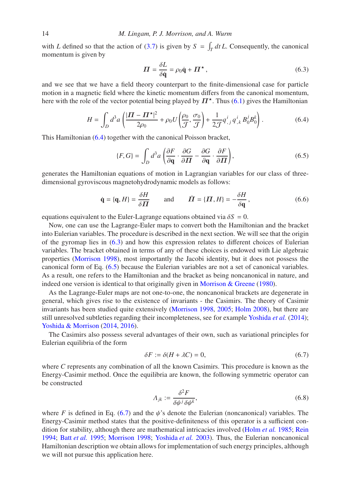with *L* defined so that the action of [\(3.7\)](#page-5-0) is given by  $S = \int_T dt L$ . Consequently, the canonical momentum is given by

<span id="page-13-2"></span><span id="page-13-1"></span><span id="page-13-0"></span>
$$
\Pi = \frac{\delta L}{\delta \dot{\mathbf{q}}} = \rho_0 \dot{\mathbf{q}} + \Pi^{\star},\tag{6.3}
$$

and we see that we have a field theory counterpart to the finite-dimensional case for particle motion in a magnetic field where the kinetic momentum differs from the canonical momentum, here with the role of the vector potential being played by  $\mathbb{\Pi}^*$ . Thus [\(6.1\)](#page-12-2) gives the Hamiltonian

$$
H = \int_D d^3a \left( \frac{|\mathbf{\Pi} - \mathbf{\Pi}^{\star}|^2}{2\rho_0} + \rho_0 U \left( \frac{\rho_0}{\mathcal{J}}, \frac{\sigma_0}{\mathcal{J}} \right) + \frac{1}{2\mathcal{J}} q^i_{,j} q^i_{,k} B_0^j B_0^k \right). \tag{6.4}
$$

This Hamiltonian [\(6.4\)](#page-13-0) together with the canonical Poisson bracket,

$$
\{F, G\} = \int_D d^3a \left( \frac{\partial F}{\partial \mathbf{q}} \cdot \frac{\partial G}{\partial \mathbf{\Pi}} - \frac{\partial G}{\partial \mathbf{q}} \cdot \frac{\partial F}{\partial \mathbf{\Pi}} \right),\tag{6.5}
$$

generates the Hamiltonian equations of motion in Lagrangian variables for our class of threedimensional gyroviscous magnetohydrodynamic models as follows:

$$
\dot{\mathbf{q}} = {\mathbf{q}, H} = \frac{\delta H}{\delta \mathbf{\Pi}} \quad \text{and} \quad \dot{\mathbf{\Pi}} = {\mathbf{\Pi}, H} = -\frac{\delta H}{\delta \mathbf{q}}, \tag{6.6}
$$

equations equivalent to the Euler-Lagrange equations obtained via  $\delta S = 0$ .

Now, one can use the Lagrange-Euler maps to convert both the Hamiltonian and the bracket into Eulerian variables. The procedure is described in the next section. We will see that the origin of the gyromap lies in [\(6.3\)](#page-13-1) and how this expression relates to different choices of Eulerian variables. The bracket obtained in terms of any of these choices is endowed with Lie algebraic properties [\(Morrison 1998\)](#page-23-8), most importantly the Jacobi identity, but it does not possess the canonical form of Eq. [\(6.5\)](#page-13-2) because the Eulerian variables are not a set of canonical variables. As a result, one refers to the Hamiltonian and the bracket as being noncanonical in nature, and indeed one version is identical to that originally given in [Morrison & Greene](#page-23-13) [\(1980\)](#page-23-13).

As the Lagrange-Euler maps are not one-to-one, the noncanonical brackets are degenerate in general, which gives rise to the existence of invariants - the Casimirs. The theory of Casimir invariants has been studied quite extensively [\(Morrison 1998](#page-23-8), [2005;](#page-23-9) [Holm 2008](#page-21-13)), but there are still unresolved subtleties regarding their incompleteness, see for example [Yoshida](#page-25-16) *et al.* [\(2014\)](#page-25-16); [Yoshida & Morrison](#page-25-17) [\(2014,](#page-25-17) [2016\)](#page-25-18).

The Casimirs also possess several advantages of their own, such as variational principles for Eulerian equilibria of the form

<span id="page-13-3"></span>
$$
\delta F := \delta (H + \lambda C) = 0,\tag{6.7}
$$

where *C* represents any combination of all the known Casimirs. This procedure is known as the Energy-Casimir method. Once the equilibria are known, the following symmetric operator can be constructed

$$
\Lambda_{jk} := \frac{\delta^2 F}{\delta \psi^j \, \delta \psi^k},\tag{6.8}
$$

where *F* is defined in Eq. [\(6.7\)](#page-13-3) and the  $\psi$ 's denote the Eulerian (noncanonical) variables. The Energy-Casimir method states that the positive-definiteness of this operator is a sufficient condition for stability, although there are mathematical intricacies involved [\(Holm](#page-21-12) *et al.* [1985;](#page-21-12) [Rein](#page-24-27) [1994;](#page-24-27) Batt *[et al.](#page-19-17)* [1995](#page-19-17); [Morrison 1998](#page-23-8); [Yoshida](#page-25-19) *et al.* [2003\)](#page-25-19). Thus, the Eulerian noncanonical Hamiltonian description we obtain allows for implementation of such energy principles, although we will not pursue this application here.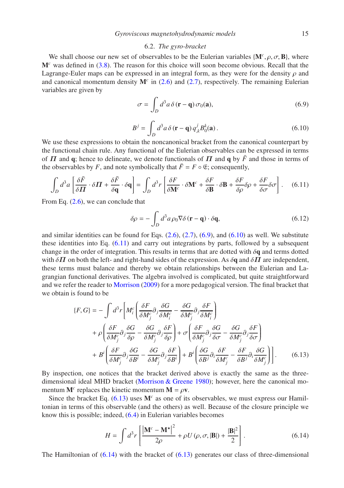# 6.2. *The gyro-bracket*

<span id="page-14-0"></span>We shall choose our new set of observables to be the Eulerian variables  $\{M^c, \rho, \sigma, B\}$ , where M*<sup>c</sup>* was defined in [\(3.8\)](#page-6-2). The reason for this choice will soon become obvious. Recall that the Lagrange-Euler maps can be expressed in an integral form, as they were for the density  $\rho$  and and canonical momentum density  $M<sup>c</sup>$  in [\(2.6\)](#page-4-2) and [\(2.7\)](#page-4-1), respectively. The remaining Eulerian variables are given by

<span id="page-14-1"></span>
$$
\sigma = \int_D d^3 a \, \delta(\mathbf{r} - \mathbf{q}) \, \sigma_0(\mathbf{a}),\tag{6.9}
$$

<span id="page-14-3"></span>
$$
B^{j} = \int_{D} d^{3} a \, \delta \left( \mathbf{r} - \mathbf{q} \right) q_{,k}^{j} B_{0}^{k}(\mathbf{a}). \tag{6.10}
$$

<span id="page-14-2"></span>We use these expressions to obtain the noncanonical bracket from the canonical counterpart by the functional chain rule. Any functional of the Eulerian observables can be expressed in terms of  $\Pi$  and  $\mathbf{q}$ ; hence to delineate, we denote functionals of  $\Pi$  and  $\mathbf{q}$  by  $\overline{F}$  and those in terms of the observables by *F*, and note symbolically that  $\bar{F} = F \circ \mathfrak{E}$ ; consequently,

$$
\int_{D} d^{3}a \left[ \frac{\delta \bar{F}}{\delta \Pi} \cdot \delta \Pi + \frac{\delta \bar{F}}{\delta \mathbf{q}} \cdot \delta \mathbf{q} \right] = \int_{D} d^{3}r \left[ \frac{\delta F}{\delta \mathbf{M}^{c}} \cdot \delta \mathbf{M}^{c} + \frac{\delta F}{\delta \mathbf{B}} \cdot \delta \mathbf{B} + \frac{\delta F}{\delta \rho} \delta \rho + \frac{\delta F}{\delta \sigma} \delta \sigma \right].
$$
 (6.11)

From Eq.  $(2.6)$ , we can conclude that

$$
\delta \rho = -\int_{D} d^{3} a \rho_{0} \nabla \delta (\mathbf{r} - \mathbf{q}) \cdot \delta \mathbf{q}, \qquad (6.12)
$$

and similar identities can be found for Eqs.  $(2.6)$ ,  $(2.7)$ ,  $(6.9)$ , and  $(6.10)$  as well. We substitute these identities into Eq. [\(6.11\)](#page-14-3) and carry out integrations by parts, followed by a subsequent change in the order of integration. This results in terms that are dotted with  $\delta q$  and terms dotted with  $\delta \mathbf{\Pi}$  on both the left- and right-hand sides of the expression. As  $\delta \mathbf{q}$  and  $\delta \mathbf{\Pi}$  are independent, these terms must balance and thereby we obtain relationships between the Eulerian and Lagrangian functional derivatives. The algebra involved is complicated, but quite straightforward and we refer the reader to [Morrison](#page-23-10) [\(2009\)](#page-23-10) for a more pedagogical version. The final bracket that we obtain is found to be

<span id="page-14-4"></span>
$$
\{F, G\} = -\int d^3r \left[ M_i^c \left( \frac{\delta F}{\delta M_j^c} \partial_j \frac{\delta G}{\delta M_i^c} - \frac{\delta G}{\delta M_j^c} \partial_j \frac{\delta F}{\delta M_i^c} \right) \right. \\
\left. + \rho \left( \frac{\delta F}{\delta M_j^c} \partial_j \frac{\delta G}{\delta \rho} - \frac{\delta G}{\delta M_j^c} \partial_j \frac{\delta F}{\delta \rho} \right) + \sigma \left( \frac{\delta F}{\delta M_j^c} \partial_j \frac{\delta G}{\delta \sigma} - \frac{\delta G}{\delta M_j^c} \partial_j \frac{\delta F}{\delta \sigma} \right) \right. \\
\left. + B^i \left( \frac{\delta F}{\delta M_j^c} \partial_j \frac{\delta G}{\delta B^i} - \frac{\delta G}{\delta M_j^c} \partial_j \frac{\delta F}{\delta B^i} \right) + B^i \left( \frac{\delta G}{\delta B^j} \partial_i \frac{\delta F}{\delta M_j^c} - \frac{\delta F}{\delta B^j} \partial_i \frac{\delta G}{\delta M_j^c} \right) \right].\n\tag{6.13}
$$

By inspection, one notices that the bracket derived above is exactly the same as the threedimensional ideal MHD bracket [\(Morrison & Greene 1980\)](#page-23-13); however, here the canonical momentum  $M^c$  replaces the kinetic momentum  $M = \rho v$ .

Since the bracket Eq.  $(6.13)$  uses  $M<sup>c</sup>$  as one of its observables, we must express our Hamiltonian in terms of this observable (and the others) as well. Because of the closure principle we know this is possible; indeed, [\(6.4\)](#page-13-0) in Eulerian variables becomes

<span id="page-14-5"></span>
$$
H = \int d^3r \left[ \frac{|\mathbf{M}^c - \mathbf{M}^{\star}|^2}{2\rho} + \rho U(\rho, \sigma, |\mathbf{B}|) + \frac{|\mathbf{B}|^2}{2} \right].
$$
 (6.14)

The Hamiltonian of  $(6.14)$  with the bracket of  $(6.13)$  generates our class of three-dimensional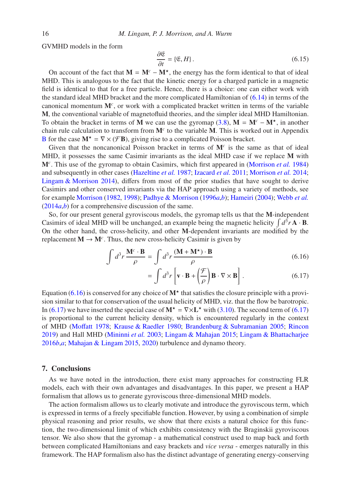GVMHD models in the form

$$
\frac{\partial \mathfrak{E}}{\partial t} = \{ \mathfrak{E}, H \}. \tag{6.15}
$$

On account of the fact that  $M = M^c - M^*$ , the energy has the form identical to that of ideal MHD. This is analogous to the fact that the kinetic energy for a charged particle in a magnetic field is identical to that for a free particle. Hence, there is a choice: one can either work with the standard ideal MHD bracket and the more complicated Hamiltonian of [\(6.14\)](#page-14-5) in terms of the canonical momentum M*<sup>c</sup>* , or work with a complicated bracket written in terms of the variable M, the conventional variable of magnetofluid theories, and the simpler ideal MHD Hamiltonian. To obtain the bracket in terms of M we can use the gyromap [\(3.8\)](#page-6-2),  $M = M<sup>c</sup> - M<sup>*</sup>$ , in another chain rule calculation to transform from M*<sup>c</sup>* to the variable M. This is worked out in Appendix [B](#page-18-0) for the case  $M^* = \nabla \times (\mathcal{F}B)$ , giving rise to a complicated Poisson bracket.

Given that the noncanonical Poisson bracket in terms of M*<sup>c</sup>* is the same as that of ideal MHD, it possesses the same Casimir invariants as the ideal MHD case if we replace M with M*<sup>c</sup>* . This use of the gyromap to obtain Casimirs, which first appeared in [\(Morrison](#page-23-5) *et al.* [1984\)](#page-23-5) and subsequently in other cases [\(Hazeltine](#page-21-9) *et al.* [1987;](#page-21-9) [Izacard](#page-21-10) *et al.* [2011;](#page-21-10) [Morrison](#page-23-14) *et al.* [2014;](#page-23-14) [Lingam & Morrison 2014\)](#page-22-3), differs from most of the prior studies that have sought to derive Casimirs and other conserved invariants via the HAP approach using a variety of methods, see for example [Morrison](#page-23-7) [\(1982,](#page-23-7) [1998](#page-23-8)); [Padhye & Morrison](#page-23-22) [\(1996](#page-23-22)*a*,*[b](#page-23-23)*); [Hameiri](#page-21-20) [\(2004\)](#page-21-20); [Webb](#page-25-20) *et al.* [\(2014](#page-25-20)*a*,*[b](#page-25-21)*) for a comprehensive discussion of the same.

So, for our present general gyroviscous models, the gyromap tells us that the M-independent Casimirs of ideal MHD will be unchanged, an example being the magnetic helicity  $\int d^3 r \mathbf{A} \cdot \mathbf{B}$ . On the other hand, the cross-helicity, and other M-dependent invariants are modified by the replacement  $M \to M^c$ . Thus, the new cross-helicity Casimir is given by

$$
\int d^3r \frac{\mathbf{M}^c \cdot \mathbf{B}}{\rho} = \int d^3r \frac{(\mathbf{M} + \mathbf{M}^{\star}) \cdot \mathbf{B}}{\rho}
$$
\n(6.16)

<span id="page-15-2"></span><span id="page-15-1"></span>
$$
= \int d^3r \left[ \mathbf{v} \cdot \mathbf{B} + \left( \frac{\mathcal{F}}{\rho} \right) \mathbf{B} \cdot \nabla \times \mathbf{B} \right].
$$
 (6.17)

Equation [\(6.16\)](#page-15-1) is conserved for any choice of  $M^*$  that satisfies the closure principle with a provision similar to that for conservation of the usual helicity of MHD, viz. that the flow be barotropic. In [\(6.17\)](#page-15-2) we have inserted the special case of  $M^* = \nabla \times L^*$  with [\(3.10\)](#page-6-1). The second term of [\(6.17\)](#page-15-2) is proportional to the current helicity density, which is encountered regularly in the context of MHD [\(Mo](#page-23-24)ffatt [1978;](#page-23-24) [Krause & Raedler 1980;](#page-22-17) [Brandenburg & Subramanian 2005](#page-19-18); [Rincon](#page-24-28) [2019\)](#page-24-28) and Hall MHD [\(Mininni](#page-23-25) *et al.* [2003](#page-23-25); [Lingam & Mahajan 2015;](#page-22-18) [Lingam & Bhattacharjee](#page-22-19) [2016](#page-22-19)*b*,*[a](#page-22-20)*; [Mahajan & Lingam 2015,](#page-22-21) [2020\)](#page-22-22) turbulence and dynamo theory.

# <span id="page-15-0"></span>7. Conclusions

As we have noted in the introduction, there exist many approaches for constructing FLR models, each with their own advantages and disadvantages. In this paper, we present a HAP formalism that allows us to generate gyroviscous three-dimensional MHD models.

The action formalism allows us to clearly motivate and introduce the gyroviscous term, which is expressed in terms of a freely specifiable function. However, by using a combination of simple physical reasoning and prior results, we show that there exists a natural choice for this function, the two-dimensional limit of which exhibits consistency with the Braginskii gyroviscous tensor. We also show that the gyromap - a mathematical construct used to map back and forth between complicated Hamiltonians and easy brackets and *vice versa* - emerges naturally in this framework. The HAP formalism also has the distinct advantage of generating energy-conserving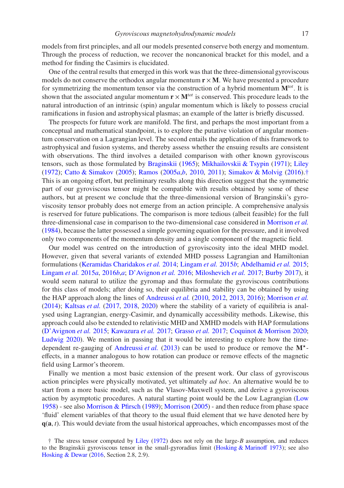models from first principles, and all our models presented conserve both energy and momentum. Through the process of reduction, we recover the noncanonical bracket for this model, and a method for finding the Casimirs is elucidated.

One of the central results that emerged in this work was that the three-dimensional gyroviscous models do not conserve the orthodox angular momentum  $\mathbf{r} \times \mathbf{M}$ . We have presented a procedure for symmetrizing the momentum tensor via the construction of a hybrid momentum M*tot*. It is shown that the associated angular momentum  $\mathbf{r} \times \mathbf{M}^{tot}$  is conserved. This procedure leads to the natural introduction of an intrinsic (spin) angular momentum which is likely to possess crucial ramifications in fusion and astrophysical plasmas; an example of the latter is briefly discussed.

The prospects for future work are manifold. The first, and perhaps the most important from a conceptual and mathematical standpoint, is to explore the putative violation of angular momentum conservation on a Lagrangian level. The second entails the application of this framework to astrophysical and fusion systems, and thereby assess whether the ensuing results are consistent with observations. The third involves a detailed comparison with other known gyroviscous tensors, such as those formulated by [Braginskii](#page-19-1) [\(1965](#page-19-1)); [Mikhailovskii & Tsypin](#page-23-26) [\(1971\)](#page-23-26); [Liley](#page-22-0) [\(1972\)](#page-22-0); [Catto & Simakov](#page-20-15) [\(2005\)](#page-20-15); [Ramos](#page-24-8) [\(2005](#page-24-8)*a*,*[b](#page-24-18)*, [2010,](#page-24-10) [2011](#page-24-11)); [Simakov & Molvig](#page-24-29) [\(2016\)](#page-24-29).[†](#page-16-0) This is an ongoing effort, but preliminary results along this direction suggest that the symmetric part of our gyroviscous tensor might be compatible with results obtained by some of these authors, but at present we conclude that the three-dimensional version of Branginskii's gyroviscosity tensor probably does not emerge from an action principle. A comprehensive analysis is reserved for future publications. The comparison is more tedious (albeit feasible) for the full three-dimensional case in comparison to the two-dimensional case considered in [Morrison](#page-23-5) *et al.* [\(1984\)](#page-23-5), because the latter possessed a simple governing equation for the pressure, and it involved only two components of the momentum density and a single component of the magnetic field.

Our model was centred on the introduction of gyroviscosity into the ideal MHD model. However, given that several variants of extended MHD possess Lagrangian and Hamiltonian formulations [\(Keramidas Charidakos](#page-21-21) *et al.* [2014;](#page-21-21) [Lingam](#page-22-23) *et al.* [2015](#page-22-23)*b*; [Abdelhamid](#page-19-19) *et al.* [2015;](#page-19-19) [Lingam](#page-22-24) *et al.* [2015](#page-22-24)*a*, [2016](#page-22-25)*b*,*[a](#page-22-26)*; [D'Avignon](#page-20-16) *et al.* [2016;](#page-20-16) [Miloshevich](#page-23-27) *et al.* [2017](#page-23-27); [Burby 2017\)](#page-20-17), it would seem natural to utilize the gyromap and thus formulate the gyroviscous contributions for this class of models; after doing so, their equilibria and stability can be obtained by using the HAP approach along the lines of [Andreussi](#page-19-8) *et al.* [\(2010,](#page-19-8) [2012,](#page-19-9) [2013,](#page-19-10) [2016](#page-19-11)); [Morrison](#page-23-14) *et al.* [\(2014\)](#page-23-14); [Kaltsas](#page-21-22) *et al.* [\(2017](#page-21-22), [2018](#page-21-23), [2020\)](#page-21-24) where the stability of a variety of equilibria is analysed using Lagrangian, energy-Casimir, and dynamically accessibility methods. Likewise, this approach could also be extended to relativistic MHD and XMHD models with HAP formulations [\(D'Avignon](#page-20-18) *et al.* [2015;](#page-20-18) [Kawazura](#page-21-25) *et al.* [2017;](#page-21-25) [Grasso](#page-21-26) *et al.* [2017](#page-21-26); [Coquinot & Morrison 2020;](#page-20-19) [Ludwig 2020\)](#page-22-27). We mention in passing that it would be interesting to explore how the time-dependent re-gauging of [Andreussi](#page-19-10) et al.  $(2013)$  can be used to produce or remove the  $M^*$ effects, in a manner analogous to how rotation can produce or remove effects of the magnetic field using Larmor's theorem.

Finally we mention a most basic extension of the present work. Our class of gyroviscous action principles were physically motivated, yet ultimately *ad hoc*. An alternative would be to start from a more basic model, such as the Vlasov-Maxwell system, and derive a gyroviscous action by asymptotic procedures. A natural starting point would be the Low Lagrangian [\(Low](#page-22-28) [1958\)](#page-22-28) - see also [Morrison & Pfirsch](#page-23-28) [\(1989\)](#page-23-28); [Morrison](#page-23-9) [\(2005](#page-23-9)) - and then reduce from phase space 'fluid' element variables of that theory to the usual fluid element that we have denoted here by q(a, *t*). This would deviate from the usual historical approaches, which encompasses most of the

<span id="page-16-0"></span><sup>†</sup> The stress tensor computed by [Liley](#page-22-0) [\(1972\)](#page-22-0) does not rely on the large-*B* assumption, and reduces to the Braginskii gyroviscous tensor in the small-gyroradius limit [\(Hosking & Marino](#page-21-27)ff [1973](#page-21-27)); see also [Hosking & Dewar](#page-21-2) [\(2016](#page-21-2), Section 2.8, 2.9).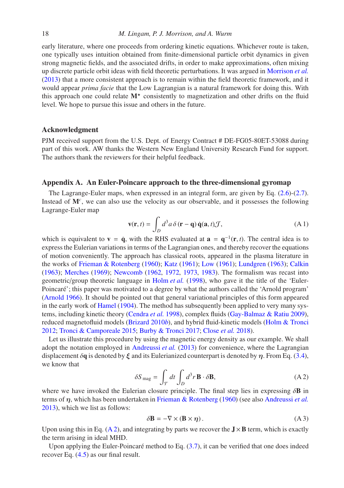early literature, where one proceeds from ordering kinetic equations. Whichever route is taken, one typically uses intuition obtained from finite-dimensional particle orbit dynamics in given strong magnetic fields, and the associated drifts, in order to make approximations, often mixing up discrete particle orbit ideas with field theoretic perturbations. It was argued in [Morrison](#page-23-29) *et al.* [\(2013\)](#page-23-29) that a more consistent approach is to remain within the field theoretic framework, and it would appear *prima facie* that the Low Lagrangian is a natural framework for doing this. With this approach one could relate  $M^*$  consistently to magnetization and other drifts on the fluid level. We hope to pursue this issue and others in the future.

# Acknowledgment

PJM received support from the U.S. Dept. of Energy Contract # DE-FG05-80ET-53088 during part of this work. AW thanks the Western New England University Research Fund for support. The authors thank the reviewers for their helpful feedback.

# <span id="page-17-0"></span>Appendix A. An Euler-Poincare approach to the three-dimensional gyromap

The Lagrange-Euler maps, when expressed in an integral form, are given by Eq. [\(2.6\)](#page-4-2)-[\(2.7\)](#page-4-1). Instead of M<sup>c</sup>, we can also use the velocity as our observable, and it possesses the following Lagrange-Euler map

$$
\mathbf{v}(\mathbf{r},t) = \int_{D} d^{3} a \, \delta(\mathbf{r} - \mathbf{q}) \, \dot{\mathbf{q}}(\mathbf{a},t) \mathcal{J}, \tag{A.1}
$$

which is equivalent to  $\mathbf{v} = \dot{\mathbf{q}}$ , with the RHS evaluated at  $\mathbf{a} = \mathbf{q}^{-1}(\mathbf{r}, t)$ . The central idea is to express the Eulerian variations in terms of the Lagrangian ones, and thereby recover the equations of motion conveniently. The approach has classical roots, appeared in the plasma literature in the works of [Frieman & Rotenberg](#page-20-7) [\(1960\)](#page-20-7); [Katz](#page-21-28) [\(1961\)](#page-21-28); [Low](#page-22-29) [\(1961\)](#page-22-29); [Lundgren](#page-22-30) [\(1963](#page-22-30)); [Calkin](#page-20-20) [\(1963\)](#page-20-20); [Merches](#page-23-30) [\(1969\)](#page-23-30); [Newcomb](#page-23-12) [\(1962](#page-23-12), [1972,](#page-23-15) [1973,](#page-23-16) [1983\)](#page-23-17). The formalism was recast into geometric/group theoretic language in [Holm](#page-21-14) *et al.* [\(1998\)](#page-21-14), who gave it the title of the 'Euler-Poincaré'; this paper was motivated to a degree by what the authors called the 'Arnold program' [\(Arnold 1966](#page-19-20)). It should be pointed out that general variational principles of this form appeared in the early work of [Hamel](#page-21-29) [\(1904](#page-21-29)). The method has subsequently been applied to very many systems, including kinetic theory [\(Cendra](#page-20-21) *et al.* [1998\)](#page-20-21), complex fluids [\(Gay-Balmaz & Ratiu 2009\)](#page-20-22), reduced magnetofluid models [\(Brizard 2010](#page-20-23)*b*), and hybrid fluid-kinetic models [\(Holm & Tronci](#page-21-30) [2012;](#page-21-30) [Tronci & Camporeale 2015;](#page-25-22) [Burby & Tronci 2017](#page-20-24); [Close](#page-20-25) *et al.* [2018](#page-20-25)).

<span id="page-17-1"></span>Let us illustrate this procedure by using the magnetic energy density as our example. We shall adopt the notation employed in [Andreussi](#page-19-10) *et al.* [\(2013\)](#page-19-10) for convenience, where the Lagrangian displacement  $\delta q$  is denoted by  $\xi$  and its Eulerianized counterpart is denoted by  $\eta$ . From Eq. [\(3.4\)](#page-5-3), we know that

$$
\delta S_{\text{mag}} = \int_{\mathcal{T}} dt \int_{D} d^3 r \, \mathbf{B} \cdot \delta \mathbf{B},\tag{A.2}
$$

where we have invoked the Eulerian closure principle. The final step lies in expressing  $\delta$ **B** in terms of η, which has been undertaken in [Frieman & Rotenberg](#page-20-7) [\(1960\)](#page-20-7) (see also [Andreussi](#page-19-10) *et al.* [2013\)](#page-19-10), which we list as follows:

$$
\delta \mathbf{B} = -\nabla \times (\mathbf{B} \times \eta). \tag{A3}
$$

Upon using this in Eq. [\(A 2\)](#page-17-1), and integrating by parts we recover the  $J \times B$  term, which is exactly the term arising in ideal MHD.

Upon applying the Euler-Poincaré method to Eq.  $(3.7)$ , it can be verified that one does indeed recover Eq. [\(4.5\)](#page-7-1) as our final result.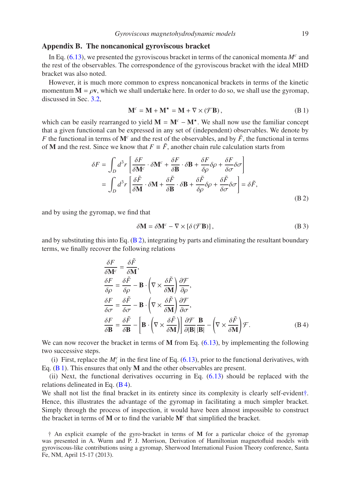# <span id="page-18-0"></span>Appendix B. The noncanonical gyroviscous bracket

In Eq. [\(6.13\)](#page-14-4), we presented the gyroviscous bracket in terms of the canonical momenta  $M<sup>c</sup>$  and the rest of the observables. The correspondence of the gyroviscous bracket with the ideal MHD bracket was also noted.

However, it is much more common to express noncanonical brackets in terms of the kinetic momentum  $M = \rho v$ , which we shall undertake here. In order to do so, we shall use the gyromap, discussed in Sec. [3.2,](#page-5-1)

<span id="page-18-2"></span>
$$
\mathbf{M}^c = \mathbf{M} + \mathbf{M}^{\star} = \mathbf{M} + \nabla \times (\mathcal{F}\mathbf{B}),\tag{B.1}
$$

which can be easily rearranged to yield  $M = M^c - M^*$ . We shall now use the familiar concept that a given functional can be expressed in any set of (independent) observables. We denote by *F* the functional in terms of  $M<sup>c</sup>$  and the rest of the observables, and by  $\tilde{F}$ , the functional in terms of **M** and the rest. Since we know that  $F \equiv \tilde{F}$ , another chain rule calculation starts from

<span id="page-18-1"></span>
$$
\delta F = \int_{D} d^{3}r \left[ \frac{\delta F}{\delta \mathbf{M}^{c}} \cdot \delta \mathbf{M}^{c} + \frac{\delta F}{\delta \mathbf{B}} \cdot \delta \mathbf{B} + \frac{\delta F}{\delta \rho} \delta \rho + \frac{\delta F}{\delta \sigma} \delta \sigma \right]
$$
  
= 
$$
\int_{D} d^{3}r \left[ \frac{\delta \tilde{F}}{\delta \mathbf{M}} \cdot \delta \mathbf{M} + \frac{\delta \tilde{F}}{\delta \mathbf{B}} \cdot \delta \mathbf{B} + \frac{\delta \tilde{F}}{\delta \rho} \delta \rho + \frac{\delta \tilde{F}}{\delta \sigma} \delta \sigma \right] = \delta \tilde{F},
$$
 (B.2)

and by using the gyromap, we find that

$$
\delta \mathbf{M} = \delta \mathbf{M}^c - \nabla \times [\delta(\mathcal{F} \mathbf{B})], \tag{B 3}
$$

and by substituting this into Eq. [\(B 2\)](#page-18-1), integrating by parts and eliminating the resultant boundary terms, we finally recover the following relations

<span id="page-18-3"></span>
$$
\frac{\delta F}{\delta \mathbf{M}^c} = \frac{\delta \tilde{F}}{\delta \rho} \n\frac{\delta F}{\delta \rho} = \frac{\delta \tilde{F}}{\delta \rho} - \mathbf{B} \cdot \left( \nabla \times \frac{\delta \tilde{F}}{\delta \mathbf{M}} \right) \frac{\partial \mathcal{F}}{\partial \rho}, \n\frac{\delta F}{\delta \sigma} = \frac{\delta \tilde{F}}{\delta \sigma} - \mathbf{B} \cdot \left( \nabla \times \frac{\delta \tilde{F}}{\delta \mathbf{M}} \right) \frac{\partial \mathcal{F}}{\partial \sigma}, \n\frac{\delta F}{\delta \mathbf{B}} = \frac{\delta \tilde{F}}{\delta \mathbf{B}} - \left[ \mathbf{B} \cdot \left( \nabla \times \frac{\delta \tilde{F}}{\delta \mathbf{M}} \right) \right] \frac{\partial \mathcal{F}}{\partial |\mathbf{B}|} \frac{\mathbf{B}}{|\mathbf{B}|} - \left( \nabla \times \frac{\delta \tilde{F}}{\delta \mathbf{M}} \right) \mathcal{F}.
$$
\n(B4)

We can now recover the bracket in terms of M from Eq.  $(6.13)$ , by implementing the following two successive steps.

(i) First, replace the  $M_i^c$  in the first line of Eq. [\(6.13\)](#page-14-4), prior to the functional derivatives, with Eq. [\(B 1\)](#page-18-2). This ensures that only M and the other observables are present.

(ii) Next, the functional derivatives occurring in Eq. [\(6.13\)](#page-14-4) should be replaced with the relations delineated in Eq. [\(B 4\)](#page-18-3).

We shall not list the final bracket in its entirety since its complexity is clearly self-evident[†](#page-18-4). Hence, this illustrates the advantage of the gyromap in facilitating a much simpler bracket. Simply through the process of inspection, it would have been almost impossible to construct the bracket in terms of  $M$  or to find the variable  $M<sup>c</sup>$  that simplified the bracket.

<span id="page-18-4"></span><sup>†</sup> An explicit example of the gyro-bracket in terms of M for a particular choice of the gyromap was presented in A. Wurm and P. J. Morrison, Derivation of Hamiltonian magnetofluid models with gyroviscous-like contributions using a gyromap, Sherwood International Fusion Theory conference, Santa Fe, NM, April 15-17 (2013).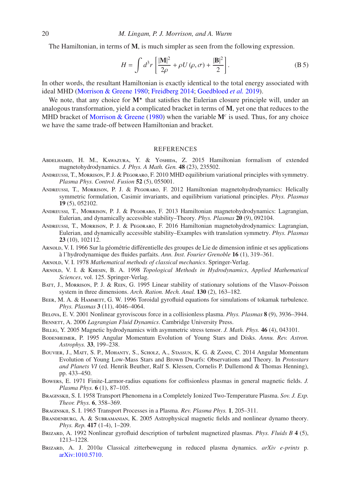The Hamiltonian, in terms of M, is much simpler as seen from the following expression.

$$
H = \int d^3r \left[ \frac{|\mathbf{M}|^2}{2\rho} + \rho U(\rho, \sigma) + \frac{|\mathbf{B}|^2}{2} \right].
$$
 (B 5)

In other words, the resultant Hamiltonian is exactly identical to the total energy associated with ideal MHD [\(Morrison & Greene 1980;](#page-23-13) [Freidberg 2014](#page-20-26); [Goedbloed](#page-21-3) *et al.* [2019](#page-21-3)).

We note, that any choice for  $M^*$  that satisfies the Eulerian closure principle will, under an analogous transformation, yield a complicated bracket in terms of M, yet one that reduces to the MHD bracket of [Morrison & Greene](#page-23-13) [\(1980](#page-23-13)) when the variable M<sup>c</sup> is used. Thus, for any choice we have the same trade-off between Hamiltonian and bracket.

#### **REFERENCES**

- <span id="page-19-19"></span>Abdelhamid, H. M., Kawazura, Y. & Yoshida, Z. 2015 Hamiltonian formalism of extended magnetohydrodynamics. *J. Phys. A Math. Gen.* 48 (23), 235502.
- <span id="page-19-8"></span>Andreussi, T., Morrison, P. J. & Pegoraro, F. 2010 MHD equilibrium variational principles with symmetry. *Plasma Phys. Control. Fusion* 52 (5), 055001.
- <span id="page-19-9"></span>Andreussi, T., Morrison, P. J. & Pegoraro, F. 2012 Hamiltonian magnetohydrodynamics: Helically symmetric formulation, Casimir invariants, and equilibrium variational principles. *Phys. Plasmas* 19 (5), 052102.
- <span id="page-19-10"></span>Andreussi, T., Morrison, P. J. & Pegoraro, F. 2013 Hamiltonian magnetohydrodynamics: Lagrangian, Eulerian, and dynamically accessible stability–Theory. *Phys. Plasmas* 20 (9), 092104.
- <span id="page-19-11"></span>Andreussi, T., Morrison, P. J. & Pegoraro, F. 2016 Hamiltonian magnetohydrodynamics: Lagrangian, Eulerian, and dynamically accessible stability–Examples with translation symmetry. *Phys. Plasmas* 23 (10), 102112.
- <span id="page-19-20"></span>ARNOLD, V. I. 1966 Sur la géométrie différentielle des groupes de Lie de dimension infinie et ses applications `a l'hydrodynamique des fluides parfaits. *Ann. Inst. Fourier Grenoble* 16 (1), 319–361.
- <span id="page-19-6"></span>Arnold, V. I. 1978 *Mathematical methods of classical mechanics*. Springer-Verlag.
- <span id="page-19-7"></span>Arnold, V. I. & Khesin, B. A. 1998 *Topological Methods in Hydrodynamics*, *Applied Mathematical Sciences*, vol. 125. Springer-Verlag.
- <span id="page-19-17"></span>Batt, J., Morrison, P. J. & Rein, G. 1995 Linear stability of stationary solutions of the Vlasov-Poisson system in three dimensions. *Arch. Ration. Mech. Anal.* 130 (2), 163–182.
- <span id="page-19-4"></span>BEER, M. A. & HAMMETT, G. W. 1996 Toroidal gyrofluid equations for simulations of tokamak turbulence. *Phys. Plasmas* 3 (11), 4046–4064.
- <span id="page-19-3"></span>Belova, E. V. 2001 Nonlinear gyroviscous force in a collisionless plasma. *Phys. Plasmas* 8 (9), 3936–3944.
- <span id="page-19-12"></span>Bennett, A. 2006 *Lagrangian Fluid Dynamics*. Cambridge University Press.
- <span id="page-19-13"></span>Billig, Y. 2005 Magnetic hydrodynamics with asymmetric stress tensor. *J. Math. Phys.* 46 (4), 043101.
- <span id="page-19-16"></span>Bodenheimer, P. 1995 Angular Momentum Evolution of Young Stars and Disks. *Annu. Rev. Astron. Astrophys.* 33, 199–238.
- <span id="page-19-15"></span>Bouvier, J., Matt, S. P., Mohanty, S., Scholz, A., Stassun, K. G. & Zanni, C. 2014 Angular Momentum Evolution of Young Low-Mass Stars and Brown Dwarfs: Observations and Theory. In *Protostars and Planets VI* (ed. Henrik Beuther, Ralf S. Klessen, Cornelis P. Dullemond & Thomas Henning), pp. 433–450.
- <span id="page-19-5"></span>Bowers, E. 1971 Finite-Larmor-radius equations for coffisionless plasmas in general magnetic fields. *J. Plasma Phys.* 6 (1), 87–105.
- <span id="page-19-0"></span>Braginskii, S. I. 1958 Transport Phenomena in a Completely Ionized Two-Temperature Plasma. *Sov. J. Exp. Theor. Phys.* 6, 358–369.
- <span id="page-19-1"></span>Braginskii, S. I. 1965 Transport Processes in a Plasma. *Rev. Plasma Phys.* 1, 205–311.
- <span id="page-19-18"></span>BRANDENBURG, A. & SUBRAMANIAN, K. 2005 Astrophysical magnetic fields and nonlinear dynamo theory. *Phys. Rep.* 417 (1-4), 1–209.
- <span id="page-19-2"></span>Brizard, A. 1992 Nonlinear gyrofluid description of turbulent magnetized plasmas. *Phys. Fluids B* 4 (5), 1213–1228.
- <span id="page-19-14"></span>Brizard, A. J. 2010*a* Classical zitterbewegung in reduced plasma dynamics. *arXiv e-prints* p. [arXiv:1010.5710.](http://arxiv.org/abs/1010.5710)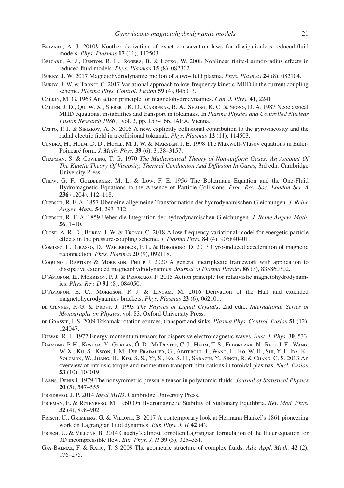- <span id="page-20-23"></span>BRIZARD, A. J. 2010*b* Noether derivation of exact conservation laws for dissipationless reduced-fluid models. *Phys. Plasmas* 17 (11), 112503.
- <span id="page-20-1"></span>Brizard, A. J., Denton, R. E., Rogers, B. & Lotko, W. 2008 Nonlinear finite-Larmor-radius effects in reduced fluid models. *Phys. Plasmas* 15 (8), 082302.
- <span id="page-20-17"></span>Burby, J. W. 2017 Magnetohydrodynamic motion of a two-fluid plasma. *Phys. Plasmas* 24 (8), 082104.
- <span id="page-20-24"></span>Burby, J. W. & Tronci, C. 2017 Variational approach to low-frequency kinetic-MHD in the current coupling scheme. *Plasma Phys. Control. Fusion* 59 (4), 045013.
- <span id="page-20-20"></span>Calkin, M. G. 1963 An action principle for magnetohydrodynamics. *Can. J. Phys.* 41, 2241.
- <span id="page-20-0"></span>Callen, J. D., Qu, W. X., Siebert, K. D., Carreras, B. A., Shaing, K. C. & Spong, D. A. 1987 Neoclassical MHD equations, instabilities and transport in tokamaks. In *Plasma Physics and Controlled Nuclear Fusion Research 1986*, , vol. 2, pp. 157–166. IAEA, Vienna.
- <span id="page-20-15"></span>CATTO, P. J. & SIMAKOV, A. N. 2005 A new, explicitly collisional contribution to the gyroviscosity and the radial electric field in a collisional tokamak. *Phys. Plasmas* 12 (11), 114503.
- <span id="page-20-21"></span>Cendra, H., Holm, D. D., Hoyle, M. J. W. & Marsden, J. E. 1998 The Maxwell-Vlasov equations in Euler-Poincar´e form. *J. Math. Phys.* 39 (6), 3138–3157.
- <span id="page-20-8"></span>Chapman, S. & Cowling, T. G. 1970 *The Mathematical Theory of Non-uniform Gases: An Account Of The Kinetic Theory Of Viscosity, Thermal Conduction And Di*ff*usion In Gases*, 3rd edn. Cambridge University Press.
- <span id="page-20-12"></span>Chew, G. F., Goldberger, M. L. & Low, F. E. 1956 The Boltzmann Equation and the One-Fluid Hydromagnetic Equations in the Absence of Particle Collisions. *Proc. Roy. Soc. London Ser. A* 236 (1204), 112–118.
- <span id="page-20-3"></span>Clebsch, R. F. A. 1857 Uber eine allgemeine Transformation der hydrodynamischen Gleichungen. *J. Reine Angew. Math.* 54, 293–312.
- <span id="page-20-4"></span>Clebsch, R. F. A. 1859 Ueber die Integration der hydrodynamischen Gleichungen. *J. Reine Angew. Math.* 56, 1–10.
- <span id="page-20-25"></span>Close, A. R. D., Burby, J. W. & Tronci, C. 2018 A low-frequency variational model for energetic particle effects in the pressure-coupling scheme. *J. Plasma Phys.* 84 (4), 905840401.
- <span id="page-20-2"></span>Comisso, L., Grasso, D., Waelbroeck, F. L. & Borgogno, D. 2013 Gyro-induced acceleration of magnetic reconnection. *Phys. Plasmas* 20 (9), 092118.
- <span id="page-20-19"></span>Coquinot, Baptiste & Morrison, Philip J. 2020 A general metriplectic framework with application to dissipative extended magnetohydrodynamics. *Journal of Plasma Physics* 86 (3), 835860302.
- <span id="page-20-18"></span>D'Avignon, E., Morrison, P. J. & Pegoraro, F. 2015 Action principle for relativistic magnetohydrodynamics. *Phys. Rev. D* 91 (8), 084050.
- <span id="page-20-16"></span>D'Avignon, E. C., Morrison, P. J. & Lingam, M. 2016 Derivation of the Hall and extended magnetohydrodynamics brackets. *Phys. Plasmas* 23 (6), 062101.
- <span id="page-20-11"></span>de Gennes, P.-G. & Prost, J. 1993 *The Physics of Liquid Crystals*, 2nd edn., *International Series of Monographs on Physics*, vol. 83. Oxford University Press.
- <span id="page-20-13"></span>de Grassie, J. S. 2009 Tokamak rotation sources, transport and sinks. *Plasma Phys. Control. Fusion* 51 (12), 124047.
- <span id="page-20-9"></span>Dewar, R. L. 1977 Energy-momentum tensors for dispersive electromagnetic waves. *Aust. J. Phys.* 30, 533.
- <span id="page-20-14"></span>DIAMOND, P. H., KOSUGA, Y., GÜRCAN, Ö. D., MCDEVITT, C. J., HAHM, T. S., FEDORCZAK, N., RICE, J. E., WANG, W. X., Ku, S., Kwon, J. M., Dif-Pradalier, G., Abiteboul, J., Wang, L., Ko, W. H., Shi, Y. J., Ida, K., Solomon, W., Jhang, H., Kim, S. S., Yi, S., Ko, S. H., Sarazin, Y., Singh, R. & Chang, C. S. 2013 An overview of intrinsic torque and momentum transport bifurcations in toroidal plasmas. *Nucl. Fusion* 53 (10), 104019.
- <span id="page-20-10"></span>Evans, Denis J. 1979 The nonsymmetric pressure tensor in polyatomic fluids. *Journal of Statistical Physics* 20 (5), 547–555.
- <span id="page-20-26"></span>Freidberg, J. P. 2014 *Ideal MHD*. Cambridge University Press.
- <span id="page-20-7"></span>Frieman, E. & Rotenberg, M. 1960 On Hydromagnetic Stability of Stationary Equilibria. *Rev. Mod. Phys.* 32 (4), 898–902.
- <span id="page-20-6"></span>Frisch, U., Grimberg, G. & Villone, B. 2017 A contemporary look at Hermann Hankel's 1861 pioneering work on Lagrangian fluid dynamics. *Eur. Phys. J. H* 42 (4).
- <span id="page-20-5"></span>Frisch, U. & Villone, B. 2014 Cauchy's almost forgotten Lagrangian formulation of the Euler equation for 3D incompressible flow. *Eur. Phys. J. H* 39 (3), 325–351.
- <span id="page-20-22"></span>Gay-Balmaz, F. & Ratiu, T. S 2009 The geometric structure of complex fluids. *Adv. Appl. Math.* 42 (2), 176–275.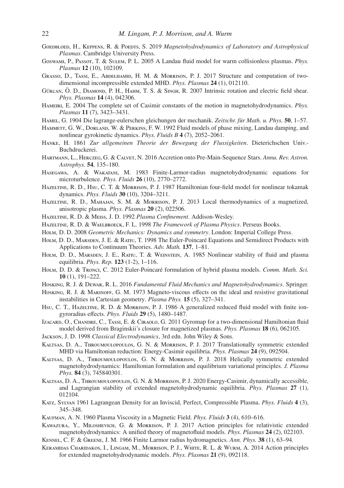- <span id="page-21-3"></span>GOEDBLOED, H., KEPPENS, R. & POEDTS, S. 2019 *Magnetohydrodynamics of Laboratory and Astrophysical Plasmas*. Cambridge University Press.
- <span id="page-21-8"></span>Goswami, P., Passot, T. & Sulem, P. L. 2005 A Landau fluid model for warm collisionless plasmas. *Phys. Plasmas* 12 (10), 102109.
- <span id="page-21-26"></span>Grasso, D., Tassi, E., Abdelhamid, H. M. & Morrison, P. J. 2017 Structure and computation of twodimensional incompressible extended MHD. *Phys. Plasmas* 24 (1), 012110.
- <span id="page-21-19"></span>GÜRCAN, Ö. D., DIAMOND, P. H., HAHM, T. S. & SINGH, R. 2007 Intrinsic rotation and electric field shear. *Phys. Plasmas* 14 (4), 042306.
- <span id="page-21-20"></span>HAMEIRI, E. 2004 The complete set of Casimir constants of the motion in magnetohydrodynamics. *Phys. Plasmas* 11 (7), 3423–3431.
- <span id="page-21-29"></span>HAMEL, G. 1904 Die lagrange-eulerschen gleichungen der mechanik. *Zeitschr. für Math. u. Phys.* 50, 1–57.
- <span id="page-21-6"></span>HAMMETT, G. W., DORLAND, W. & PERKINS, F. W. 1992 Fluid models of phase mixing, Landau damping, and nonlinear gyrokinetic dynamics. *Phys. Fluids B* 4 (7), 2052–2061.
- <span id="page-21-11"></span>Hanke, H. 1861 *Zur allgemeinen Theorie der Bewegung der Flussigkeiten*. Dieterichschen Univ.- Buchdruckerei.
- <span id="page-21-18"></span>Hartmann, L., Herczeg, G. & Calvet, N. 2016 Accretion onto Pre-Main-Sequence Stars. *Annu. Rev. Astron. Astrophys.* 54, 135–180.
- <span id="page-21-4"></span>Hasegawa, A. & Wakatani, M. 1983 Finite-Larmor-radius magnetohydrodynamic equations for microturbulence. *Phys. Fluids* 26 (10), 2770–2772.
- <span id="page-21-9"></span>Hazeltine, R. D., Hsu, C. T. & Morrison, P. J. 1987 Hamiltonian four-field model for nonlinear tokamak dynamics. *Phys. Fluids* 30 (10), 3204–3211.
- <span id="page-21-16"></span>HAZELTINE, R. D., MAHAJAN, S. M. & MORRISON, P. J. 2013 Local thermodynamics of a magnetized, anisotropic plasma. *Phys. Plasmas* 20 (2), 022506.
- <span id="page-21-0"></span>Hazeltine, R. D. & Meiss, J. D. 1992 *Plasma Confinement*. Addison-Wesley.
- <span id="page-21-1"></span>Hazeltine, R. D. & Waelbroeck, F. L. 1998 *The Framework of Plasma Physics*. Perseus Books.
- <span id="page-21-13"></span>Holm, D. D. 2008 *Geometric Mechanics: Dynamics and symmetry*. London: Imperial College Press.
- <span id="page-21-14"></span>HOLM, D. D., MARSDEN, J. E. & RATIU, T. 1998 The Euler-Poincaré Equations and Semidirect Products with Applications to Continuum Theories. *Adv. Math.* 137, 1–81.
- <span id="page-21-12"></span>HOLM, D. D., MARSDEN, J. E., RATIU, T. & WEINSTEIN, A. 1985 Nonlinear stability of fluid and plasma equilibria. *Phys. Rep.* 123 (1-2), 1–116.
- <span id="page-21-30"></span>HOLM, D. D. & TRONCI, C. 2012 Euler-Poincaré formulation of hybrid plasma models. *Comm. Math. Sci.* 10 (1), 191–222.
- <span id="page-21-2"></span>Hosking, R. J. & Dewar, R. L. 2016 *Fundamental Fluid Mechanics and Magnetohydrodynamics*. Springer.
- <span id="page-21-27"></span>Hosking, R. J. & Marinoff, G. M. 1973 Magneto-viscous effects on the ideal and resistive gravitational instabilities in Cartesian geometry. *Plasma Phys.* 15 (5), 327–341.
- <span id="page-21-5"></span>Hsu, C. T., HAZELTINE, R. D. & MORRISON, P. J. 1986 A generalized reduced fluid model with finite iongyroradius effects. *Phys. Fluids* 29 (5), 1480–1487.
- <span id="page-21-10"></span>Izacard, O., Chandre, C., Tassi, E. & Ciraolo, G. 2011 Gyromap for a two-dimensional Hamiltonian fluid model derived from Braginskii's closure for magnetized plasmas. *Phys. Plasmas* 18 (6), 062105.
- <span id="page-21-15"></span>Jackson, J. D. 1998 *Classical Electrodynamics*, 3rd edn. John Wiley & Sons.
- <span id="page-21-22"></span>Kaltsas, D. A., Throumoulopoulos, G. N. & Morrison, P. J. 2017 Translationally symmetric extended MHD via Hamiltonian reduction: Energy-Casimir equilibria. *Phys. Plasmas* 24 (9), 092504.
- <span id="page-21-23"></span>Kaltsas, D. A., Throumoulopoulos, G. N. & Morrison, P. J. 2018 Helically symmetric extended magnetohydrodynamics: Hamiltonian formulation and equilibrium variational principles. *J. Plasma Phys.* 84 (3), 745840301.
- <span id="page-21-24"></span>Kaltsas, D. A., Throumoulopoulos, G. N. & Morrison, P. J. 2020 Energy-Casimir, dynamically accessible, and Lagrangian stability of extended magnetohydrodynamic equilibria. *Phys. Plasmas* 27 (1), 012104.
- <span id="page-21-28"></span>Katz, Sylvan 1961 Lagrangean Density for an Inviscid, Perfect, Compressible Plasma. *Phys. Fluids* 4 (3), 345–348.
- <span id="page-21-17"></span>Kaufman, A. N. 1960 Plasma Viscosity in a Magnetic Field. *Phys. Fluids* 3 (4), 610–616.
- <span id="page-21-25"></span>Kawazura, Y., Miloshevich, G. & Morrison, P. J. 2017 Action principles for relativistic extended magnetohydrodynamics: A unified theory of magnetofluid models. *Phys. Plasmas* 24 (2), 022103.
- <span id="page-21-7"></span>Kennel, C. F. & Greene, J. M. 1966 Finite Larmor radius hydromagnetics. *Ann. Phys.* 38 (1), 63–94.
- <span id="page-21-21"></span>Keramidas Charidakos, I., Lingam, M., Morrison, P. J., White, R. L. & Wurm, A. 2014 Action principles for extended magnetohydrodynamic models. *Phys. Plasmas* 21 (9), 092118.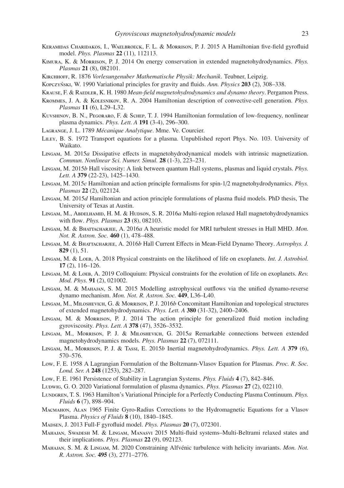- <span id="page-22-12"></span>Keramidas Charidakos, I., Waelbroeck, F. L. & Morrison, P. J. 2015 A Hamiltonian five-field gyrofluid model. *Phys. Plasmas* 22 (11), 112113.
- <span id="page-22-9"></span>Kimura, K. & Morrison, P. J. 2014 On energy conservation in extended magnetohydrodynamics. *Phys. Plasmas* 21 (8), 082101.
- <span id="page-22-7"></span>Kirchhoff, R. 1876 *Vorlesungenuber Mathematische Physik: Mechanik*. Teubner, Leipzig.
- <span id="page-22-13"></span>Kopczyński, W. 1990 Variational principles for gravity and fluids. *Ann. Physics* 203 (2), 308–338.
- <span id="page-22-17"></span>Krause, F. & Raedler, K. H. 1980 *Mean-field magnetohydrodynamics and dynamo theory*. Pergamon Press.
- <span id="page-22-11"></span>Krommes, J. A. & Kolesnikov, R. A. 2004 Hamiltonian description of convective-cell generation. *Phys. Plasmas* 11 (6), L29–L32.
- <span id="page-22-10"></span>Kuvshinov, B. N., Pegoraro, F. & Schep, T. J. 1994 Hamiltonian formulation of low-frequency, nonlinear plasma dynamics. *Phys. Lett. A* 191 (3-4), 296–300.
- <span id="page-22-6"></span>Lagrange, J. L. 1789 *M´ecanique Analytique*. Mme. Ve. Courcier.
- <span id="page-22-0"></span>LILEY, B. S. 1972 Transport equations for a plasma. Unpublished report Phys. No. 103. University of Waikato.
- <span id="page-22-14"></span>Lingam, M. 2015*a* Dissipative effects in magnetohydrodynamical models with intrinsic magnetization. *Commun. Nonlinear Sci. Numer. Simul.* 28 (1-3), 223–231.
- <span id="page-22-4"></span>Lingam, M. 2015*b* Hall viscosity: A link between quantum Hall systems, plasmas and liquid crystals. *Phys. Lett. A* 379 (22-23), 1425–1430.
- <span id="page-22-5"></span>Lingam, M. 2015*c* Hamiltonian and action principle formalisms for spin-1/2 magnetohydrodynamics. *Phys. Plasmas* 22 (2), 022124.
- <span id="page-22-8"></span>Lingam, M. 2015*d* Hamiltonian and action principle formulations of plasma fluid models. PhD thesis, The University of Texas at Austin.
- <span id="page-22-26"></span>Lingam, M., Abdelhamid, H. M. & Hudson, S. R. 2016*a* Multi-region relaxed Hall magnetohydrodynamics with flow. *Phys. Plasmas* 23 (8), 082103.
- <span id="page-22-20"></span>Lingam, M. & Bhattacharjee, A. 2016*a* A heuristic model for MRI turbulent stresses in Hall MHD. *Mon. Not. R. Astron. Soc.* 460 (1), 478–488.
- <span id="page-22-19"></span>Lingam, M. & Bhattacharjee, A. 2016*b* Hall Current Effects in Mean-Field Dynamo Theory. *Astrophys. J.* 829 (1), 51.
- <span id="page-22-15"></span>Lingam, M. & Loeb, A. 2018 Physical constraints on the likelihood of life on exoplanets. *Int. J. Astrobiol.* 17 (2), 116–126.
- <span id="page-22-16"></span>Lingam, M. & Loeb, A. 2019 Colloquium: Physical constraints for the evolution of life on exoplanets. *Rev. Mod. Phys.* 91 (2), 021002.
- <span id="page-22-18"></span>Lingam, M. & Mahajan, S. M. 2015 Modelling astrophysical outflows via the unified dynamo-reverse dynamo mechanism. *Mon. Not. R. Astron. Soc.* 449, L36–L40.
- <span id="page-22-25"></span>Lingam, M., Miloshevich, G. & Morrison, P. J. 2016*b* Concomitant Hamiltonian and topological structures of extended magnetohydrodynamics. *Phys. Lett. A* 380 (31-32), 2400–2406.
- <span id="page-22-3"></span>Lingam, M. & Morrison, P. J. 2014 The action principle for generalized fluid motion including gyroviscosity. *Phys. Lett. A* 378 (47), 3526–3532.
- <span id="page-22-24"></span>Lingam, M., Morrison, P. J. & Miloshevich, G. 2015*a* Remarkable connections between extended magnetohydrodynamics models. *Phys. Plasmas* 22 (7), 072111.
- <span id="page-22-23"></span>Lingam, M., Morrison, P. J. & Tassi, E. 2015*b* Inertial magnetohydrodynamics. *Phys. Lett. A* 379 (6), 570–576.
- <span id="page-22-28"></span>Low, F. E. 1958 A Lagrangian Formulation of the Boltzmann-Vlasov Equation for Plasmas. *Proc. R. Soc. Lond. Ser. A* 248 (1253), 282–287.
- <span id="page-22-29"></span>Low, F. E. 1961 Persistence of Stability in Lagrangian Systems. *Phys. Fluids* 4 (7), 842–846.
- <span id="page-22-27"></span>Ludwig, G. O. 2020 Variational formulation of plasma dynamics. *Phys. Plasmas* 27 (2), 022110.
- <span id="page-22-30"></span>Lundgren, T. S. 1963 Hamilton's Variational Principle for a Perfectly Conducting Plasma Continuum. *Phys. Fluids* 6 (7), 898–904.
- <span id="page-22-2"></span>Macmahon, Alan 1965 Finite Gyro-Radius Corrections to the Hydromagnetic Equations for a Vlasov Plasma. *Physics of Fluids* 8 (10), 1840–1845.
- <span id="page-22-1"></span>Madsen, J. 2013 Full-F gyrofluid model. *Phys. Plasmas* 20 (7), 072301.
- <span id="page-22-21"></span>Mahajan, Swadesh M. & Lingam, Manasvi 2015 Multi-fluid systems–Multi-Beltrami relaxed states and their implications. *Phys. Plasmas* 22 (9), 092123.
- <span id="page-22-22"></span>MAHAJAN, S. M. & LINGAM, M. 2020 Constraining Alfvénic turbulence with helicity invariants. Mon. Not. *R. Astron. Soc.* 495 (3), 2771–2776.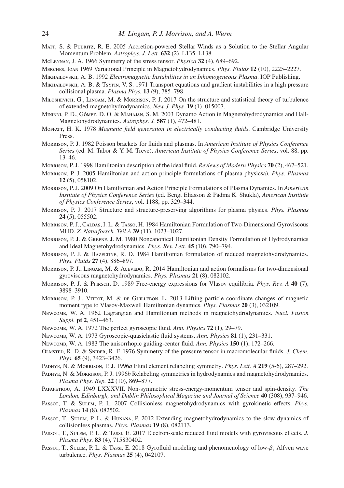- <span id="page-23-21"></span>MATT, S. & PUDRITZ, R. E. 2005 Accretion-powered Stellar Winds as a Solution to the Stellar Angular Momentum Problem. *Astrophys. J. Lett.* 632 (2), L135–L138.
- <span id="page-23-20"></span>McLennan, J. A. 1966 Symmetry of the stress tensor. *Physica* 32 (4), 689–692.
- <span id="page-23-30"></span>Merches, Ioan 1969 Variational Principle in Magnetohydrodynamics. *Phys. Fluids* 12 (10), 2225–2227.
- <span id="page-23-0"></span>Mikhailovskii, A. B. 1992 *Electromagnetic Instabilities in an Inhomogeneous Plasma*. IOP Publishing.
- <span id="page-23-26"></span>MIKHAILOVSKII, A. B. & Tsypin, V. S. 1971 Transport equations and gradient instabilities in a high pressure collisional plasma. *Plasma Phys.* 13 (9), 785–798.
- <span id="page-23-27"></span>Miloshevich, G., Lingam, M. & Morrison, P. J. 2017 On the structure and statistical theory of turbulence of extended magnetohydrodynamics. *New J. Phys.* 19 (1), 015007.
- <span id="page-23-25"></span>MININNI, P. D., GÓMEZ, D. O. & MAHAJAN, S. M. 2003 Dynamo Action in Magnetohydrodynamics and Hall-Magnetohydrodynamics. *Astrophys. J.* 587 (1), 472–481.
- <span id="page-23-24"></span>Moffatt, H. K. 1978 *Magnetic field generation in electrically conducting fluids*. Cambridge University Press.
- <span id="page-23-7"></span>Morrison, P. J. 1982 Poisson brackets for fluids and plasmas. In *American Institute of Physics Conference Series* (ed. M. Tabor & Y. M. Treve), *American Institute of Physics Conference Series*, vol. 88, pp. 13–46.
- <span id="page-23-8"></span>Morrison, P. J. 1998 Hamiltonian description of the ideal fluid. *Reviews of Modern Physics* 70 (2), 467–521.
- <span id="page-23-9"></span>Morrison, P. J. 2005 Hamiltonian and action principle formulations of plasma physicsa). *Phys. Plasmas* 12 (5), 058102.
- <span id="page-23-10"></span>Morrison, P. J. 2009 On Hamiltonian and Action Principle Formulations of Plasma Dynamics. In *American Institute of Physics Conference Series* (ed. Bengt Eliasson & Padma K. Shukla), *American Institute of Physics Conference Series*, vol. 1188, pp. 329–344.
- <span id="page-23-11"></span>Morrison, P. J. 2017 Structure and structure-preserving algorithms for plasma physics. *Phys. Plasmas* 24 (5), 055502.
- <span id="page-23-5"></span>Morrison, P. J., CALDAS, I. L. & TASSO, H. 1984 Hamiltonian Formulation of Two-Dimensional Gyroviscous MHD. *Z. Naturforsch. Teil A* 39 (11), 1023–1027.
- <span id="page-23-13"></span>Morrison, P. J. & Greene, J. M. 1980 Noncanonical Hamiltonian Density Formulation of Hydrodynamics and Ideal Magnetohydrodynamics. *Phys. Rev. Lett.* 45 (10), 790–794.
- <span id="page-23-4"></span>Morrison, P. J. & Hazeltine, R. D. 1984 Hamiltonian formulation of reduced magnetohydrodynamics. *Phys. Fluids* 27 (4), 886–897.
- <span id="page-23-14"></span>MORRISON, P. J., LINGAM, M. & ACEVEDO, R. 2014 Hamiltonian and action formalisms for two-dimensional gyroviscous magnetohydrodynamics. *Phys. Plasmas* 21 (8), 082102.
- <span id="page-23-28"></span>Morrison, P. J. & Pfirsch, D. 1989 Free-energy expressions for Vlasov equilibria. *Phys. Rev. A* 40 (7), 3898–3910.
- <span id="page-23-29"></span>Morrison, P. J., Virtot, M. & de Guillebon, L. 2013 Lifting particle coordinate changes of magnetic moment type to Vlasov-Maxwell Hamiltonian dynamics. *Phys. Plasmas* 20 (3), 032109.
- <span id="page-23-12"></span>Newcomb, W. A. 1962 Lagrangian and Hamiltonian methods in magnetohydrodynamics. *Nucl. Fusion Suppl.* pt 2, 451–463.
- <span id="page-23-15"></span>Newcomb, W. A. 1972 The perfect gyroscopic fluid. *Ann. Physics* 72 (1), 29–79.
- <span id="page-23-16"></span>Newcomb, W. A. 1973 Gyroscopic-quasielastic fluid systems. *Ann. Physics* 81 (1), 231–331.
- <span id="page-23-17"></span>Newcomb, W. A. 1983 The anisorrhopic guiding-center fluid. *Ann. Physics* 150 (1), 172–266.
- <span id="page-23-19"></span>Olmsted, R. D. & Snider, R. F. 1976 Symmetry of the pressure tensor in macromolecular fluids. *J. Chem. Phys.* 65 (9), 3423–3426.
- <span id="page-23-22"></span>Padhye, N. & Morrison, P. J. 1996*a* Fluid element relabeling symmetry. *Phys. Lett. A* 219 (5-6), 287–292.
- <span id="page-23-23"></span>Padhye, N. & Morrison, P. J. 1996*b* Relabeling symmetries in hydrodynamics and magnetohydrodynamics. *Plasma Phys. Rep.* 22 (10), 869–877.
- <span id="page-23-18"></span>Papapetrou, A. 1949 LXXXVII. Non-symmetric stress-energy-momentum tensor and spin-density. *The London, Edinburgh, and Dublin Philosophical Magazine and Journal of Science* 40 (308), 937–946.
- <span id="page-23-1"></span>Passot, T. & Sulem, P. L. 2007 Collisionless magnetohydrodynamics with gyrokinetic effects. *Phys. Plasmas* 14 (8), 082502.
- <span id="page-23-2"></span>Passot, T., Sulem, P. L. & Hunana, P. 2012 Extending magnetohydrodynamics to the slow dynamics of collisionless plasmas. *Phys. Plasmas* 19 (8), 082113.
- <span id="page-23-3"></span>Passor, T., Sulem, P. L. & Tassi, E. 2017 Electron-scale reduced fluid models with gyroviscous effects. *J. Plasma Phys.* 83 (4), 715830402.
- <span id="page-23-6"></span>Passor, T., Sulem, P. L. & Tassi, E. 2018 Gyrofluid modeling and phenomenology of low-β<sub>e</sub> Alfvén wave turbulence. *Phys. Plasmas* 25 (4), 042107.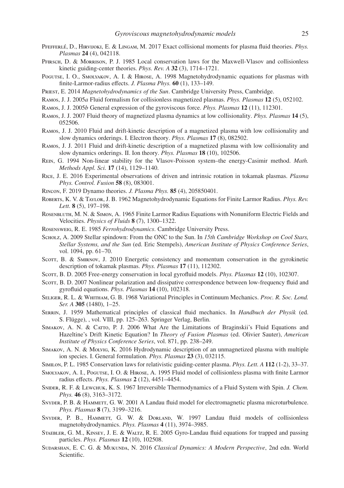- <span id="page-24-12"></span>PFEFFERLE, D., HIRVIJOKI, E. & LINGAM, M. 2017 Exact collisional moments for plasma fluid theories. *Phys. Plasmas* 24 (4), 042118.
- <span id="page-24-21"></span>Pfirsch, D. & Morrison, P. J. 1985 Local conservation laws for the Maxwell-Vlasov and collisionless kinetic guiding-center theories. *Phys. Rev. A* 32 (3), 1714–1721.
- <span id="page-24-6"></span>Pogutse, I. O., Smolyakov, A. I. & Hirose, A. 1998 Magnetohydrodynamic equations for plasmas with finite-Larmor-radius effects. *J. Plasma Phys.* 60 (1), 133–149.
- <span id="page-24-25"></span>Priest, E. 2014 *Magnetohydrodynamics of the Sun*. Cambridge University Press, Cambridge.
- <span id="page-24-8"></span>Ramos, J. J. 2005*a* Fluid formalism for collisionless magnetized plasmas. *Phys. Plasmas* 12 (5), 052102.
- <span id="page-24-18"></span>Ramos, J. J. 2005*b* General expression of the gyroviscous force. *Phys. Plasmas* 12 (11), 112301.
- <span id="page-24-9"></span>Ramos, J. J. 2007 Fluid theory of magnetized plasma dynamics at low collisionality. *Phys. Plasmas* 14 (5), 052506.
- <span id="page-24-10"></span>Ramos, J. J. 2010 Fluid and drift-kinetic description of a magnetized plasma with low collisionality and slow dynamics orderings. I. Electron theory. *Phys. Plasmas* 17 (8), 082502.
- <span id="page-24-11"></span>Ramos, J. J. 2011 Fluid and drift-kinetic description of a magnetized plasma with low collisionality and slow dynamics orderings. II. Ion theory. *Phys. Plasmas* 18 (10), 102506.
- <span id="page-24-27"></span>Rein, G. 1994 Non-linear stability for the Vlasov-Poisson system–the energy-Casimir method. *Math. Methods Appl. Sci.* 17 (14), 1129–1140.
- <span id="page-24-26"></span>Rice, J. E. 2016 Experimental observations of driven and intrinsic rotation in tokamak plasmas. *Plasma Phys. Control. Fusion* 58 (8), 083001.
- <span id="page-24-28"></span>Rincon, F. 2019 Dynamo theories. *J. Plasma Phys.* 85 (4), 205850401.
- <span id="page-24-0"></span>Roberts, K. V. & Taylor, J. B. 1962 Magnetohydrodynamic Equations for Finite Larmor Radius. *Phys. Rev. Lett.* 8 (5), 197–198.
- <span id="page-24-1"></span>ROSENBLUTH, M. N. & SIMON, A. 1965 Finite Larmor Radius Equations with Nonuniform Electric Fields and Velocities. *Physics of Fluids* 8 (7), 1300–1322.
- <span id="page-24-20"></span>Rosensweig, R. E. 1985 *Ferrohydrodynamics*. Cambridge University Press.
- <span id="page-24-24"></span>Scholz, A. 2009 Stellar spindown: From the ONC to the Sun. In *15th Cambridge Workshop on Cool Stars, Stellar Systems, and the Sun* (ed. Eric Stempels), *American Institute of Physics Conference Series*, vol. 1094, pp. 61–70.
- <span id="page-24-23"></span>Scott, B. & SMIRNOV, J. 2010 Energetic consistency and momentum conservation in the gyrokinetic description of tokamak plasmas. *Phys. Plasmas* 17 (11), 112302.
- <span id="page-24-16"></span>Scott, B. D. 2005 Free-energy conservation in local gyrofluid models. *Phys. Plasmas* 12 (10), 102307.
- <span id="page-24-17"></span>Scorr, B. D. 2007 Nonlinear polarization and dissipative correspondence between low-frequency fluid and gyrofluid equations. *Phys. Plasmas* 14 (10), 102318.
- <span id="page-24-14"></span>Seliger, R. L. & Whitham, G. B. 1968 Variational Principles in Continuum Mechanics. *Proc. R. Soc. Lond. Ser. A* 305 (1480), 1–25.
- <span id="page-24-13"></span>Serrin, J. 1959 Mathematical principles of classical fluid mechanics. In *Handbuch der Physik* (ed. S. Flügge), , vol. VIII, pp. 125–263. Springer Verlag, Berlin.
- <span id="page-24-7"></span>SIMAKOV, A. N. & CATTO, P. J. 2006 What Are the Limitations of Braginskii's Fluid Equations and Hazeltine's Drift Kinetic Equation? In *Theory of Fusion Plasmas* (ed. Olivier Sauter), *American Institute of Physics Conference Series*, vol. 871, pp. 238–249.
- <span id="page-24-29"></span>Simakov, A. N. & Molvig, K. 2016 Hydrodynamic description of an unmagnetized plasma with multiple ion species. I. General formulation. *Phys. Plasmas* 23 (3), 032115.
- <span id="page-24-22"></span>Similon, P. L. 1985 Conservation laws for relativistic guiding-center plasma. *Phys. Lett. A* 112 (1-2), 33–37.
- <span id="page-24-2"></span>Smolyakov, A. I., Pogutse, I. O. & Hirose, A. 1995 Fluid model of collisionless plasma with finite Larmor radius effects. *Phys. Plasmas* 2 (12), 4451–4454.
- <span id="page-24-19"></span>Snider, R. F. & Lewchuk, K. S. 1967 Irreversible Thermodynamics of a Fluid System with Spin. *J. Chem. Phys.* 46 (8), 3163–3172.
- <span id="page-24-4"></span>SNYDER, P. B. & HAMMETT, G. W. 2001 A Landau fluid model for electromagnetic plasma microturbulence. *Phys. Plasmas* 8 (7), 3199–3216.
- <span id="page-24-3"></span>SNYDER, P. B., HAMMETT, G. W. & DORLAND, W. 1997 Landau fluid models of collisionless magnetohydrodynamics. *Phys. Plasmas* 4 (11), 3974–3985.
- <span id="page-24-5"></span>Staebler, G. M., Kinsey, J. E. & Waltz, R. E. 2005 Gyro-Landau fluid equations for trapped and passing particles. *Phys. Plasmas* 12 (10), 102508.
- <span id="page-24-15"></span>Sudarshan, E. C. G. & Mukunda, N. 2016 *Classical Dynamics: A Modern Perspective*, 2nd edn. World Scientific.